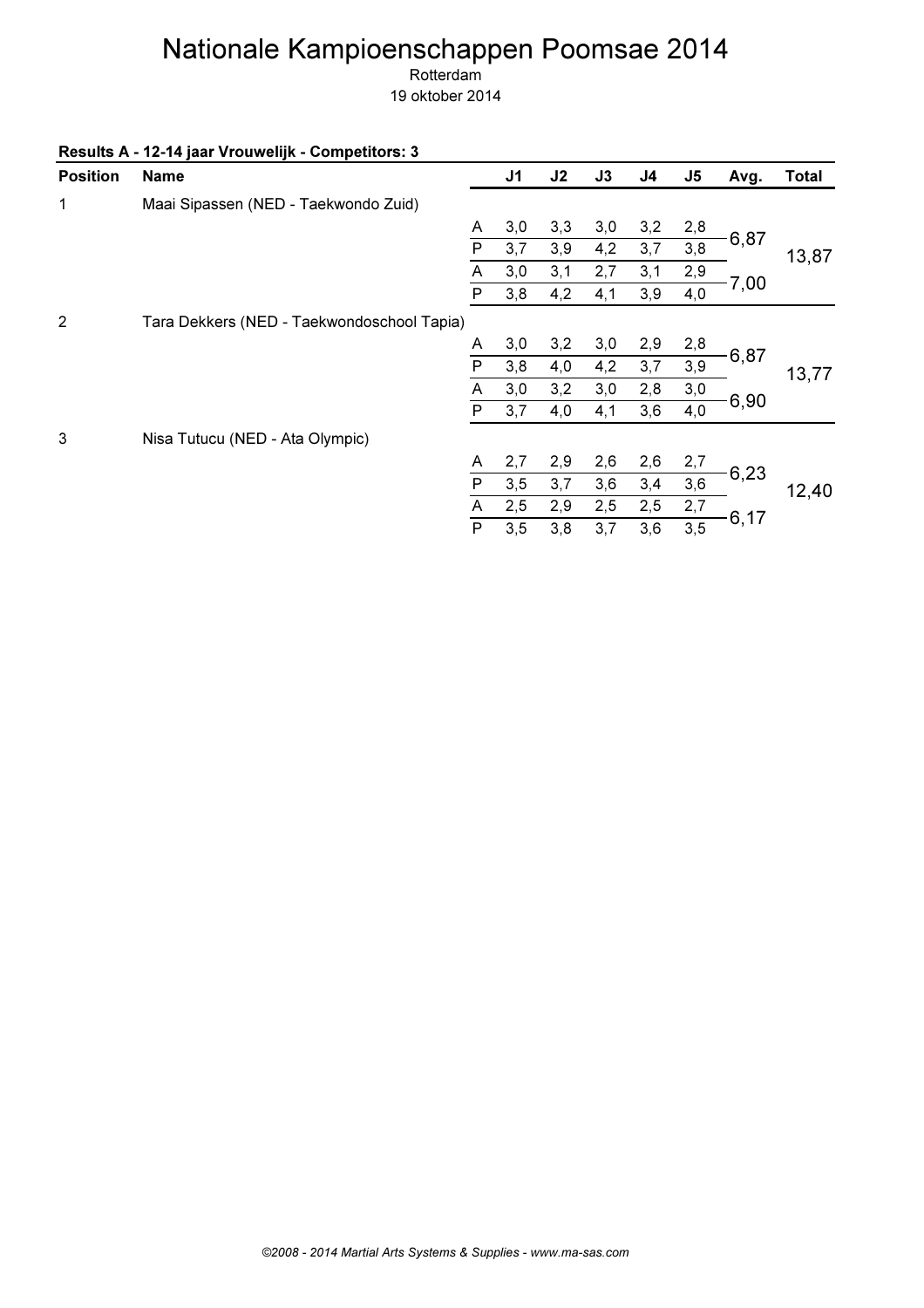Rotterdam

|  |  | Results A - 12-14 jaar Vrouwelijk - Competitors: 3 |
|--|--|----------------------------------------------------|
|--|--|----------------------------------------------------|

| <b>Position</b> | <b>Name</b>                                |              | J <sub>1</sub> | J2  | J3  | J <sub>4</sub> | J <sub>5</sub> | Avg. | <b>Total</b> |
|-----------------|--------------------------------------------|--------------|----------------|-----|-----|----------------|----------------|------|--------------|
| 1               | Maai Sipassen (NED - Taekwondo Zuid)       |              |                |     |     |                |                |      |              |
|                 |                                            | A            | 3,0            | 3,3 | 3,0 | 3,2            | 2,8            |      |              |
|                 |                                            | P            | 3,7            | 3,9 | 4,2 | 3,7            | 3,8            | 6,87 | 13,87        |
|                 |                                            | Α            | 3,0            | 3,1 | 2,7 | 3,1            | 2,9            |      |              |
|                 |                                            | P            | 3,8            | 4,2 | 4,1 | 3,9            | 4,0            | 7,00 |              |
| 2               | Tara Dekkers (NED - Taekwondoschool Tapia) |              |                |     |     |                |                |      |              |
|                 |                                            | A            | 3,0            | 3,2 | 3,0 | 2,9            | 2,8            |      |              |
|                 |                                            | P            | 3,8            | 4,0 | 4,2 | 3,7            | 3,9            | 6,87 | 13,77        |
|                 |                                            | A            | 3,0            | 3,2 | 3,0 | 2,8            | 3,0            |      |              |
|                 |                                            | $\mathsf{P}$ | 3,7            | 4,0 | 4,1 | 3,6            | 4,0            | 6,90 |              |
| 3               | Nisa Tutucu (NED - Ata Olympic)            |              |                |     |     |                |                |      |              |
|                 |                                            | A            | 2,7            | 2,9 | 2,6 | 2,6            | 2,7            |      |              |
|                 |                                            | $\mathsf{P}$ | 3,5            | 3,7 | 3,6 | 3,4            | 3,6            | 6,23 | 12,40        |
|                 |                                            | A            | 2,5            | 2,9 | 2,5 | 2,5            | 2,7            |      |              |
|                 |                                            | P            | 3,5            | 3,8 | 3,7 | 3,6            | 3,5            | 6,17 |              |
|                 |                                            |              |                |     |     |                |                |      |              |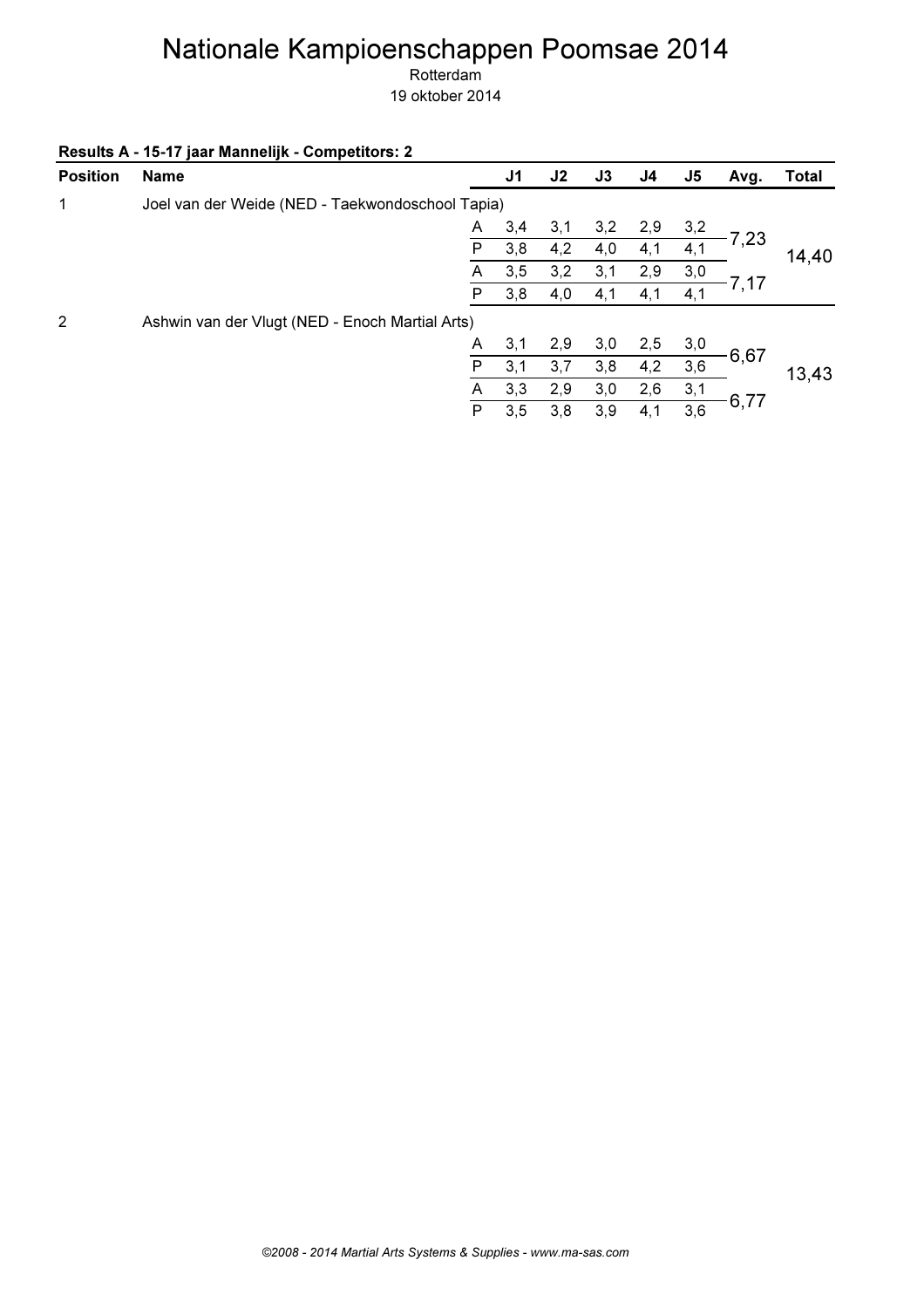Rotterdam

| <b>Position</b> | <b>Name</b>                                      |   | J <sub>1</sub> | J2  | J3  | J4  | J <sub>5</sub> | Avg. | <b>Total</b> |
|-----------------|--------------------------------------------------|---|----------------|-----|-----|-----|----------------|------|--------------|
| 1               | Joel van der Weide (NED - Taekwondoschool Tapia) |   |                |     |     |     |                |      |              |
|                 |                                                  | A | 3,4            | 3,1 | 3,2 | 2,9 | 3,2            |      |              |
|                 |                                                  | P | 3,8            | 4,2 | 4,0 | 4,1 | 4,1            | 7,23 | 14,40        |
|                 |                                                  | A | 3,5            | 3,2 | 3,1 | 2,9 | 3,0            |      |              |
|                 |                                                  | P | 3,8            | 4,0 | 4,1 | 4,1 | 4,1            | 7,17 |              |
| 2               | Ashwin van der Vlugt (NED - Enoch Martial Arts)  |   |                |     |     |     |                |      |              |
|                 |                                                  | A | 3,1            | 2,9 | 3,0 | 2,5 | 3,0            |      |              |
|                 |                                                  | P | 3,1            | 3,7 | 3,8 | 4,2 | 3,6            | 6,67 | 13,43        |
|                 |                                                  | A | 3,3            | 2,9 | 3,0 | 2,6 | 3,1            |      |              |
|                 |                                                  | P | 3,5            | 3,8 | 3,9 | 4,1 | 3,6            | 6,77 |              |
|                 |                                                  |   |                |     |     |     |                |      |              |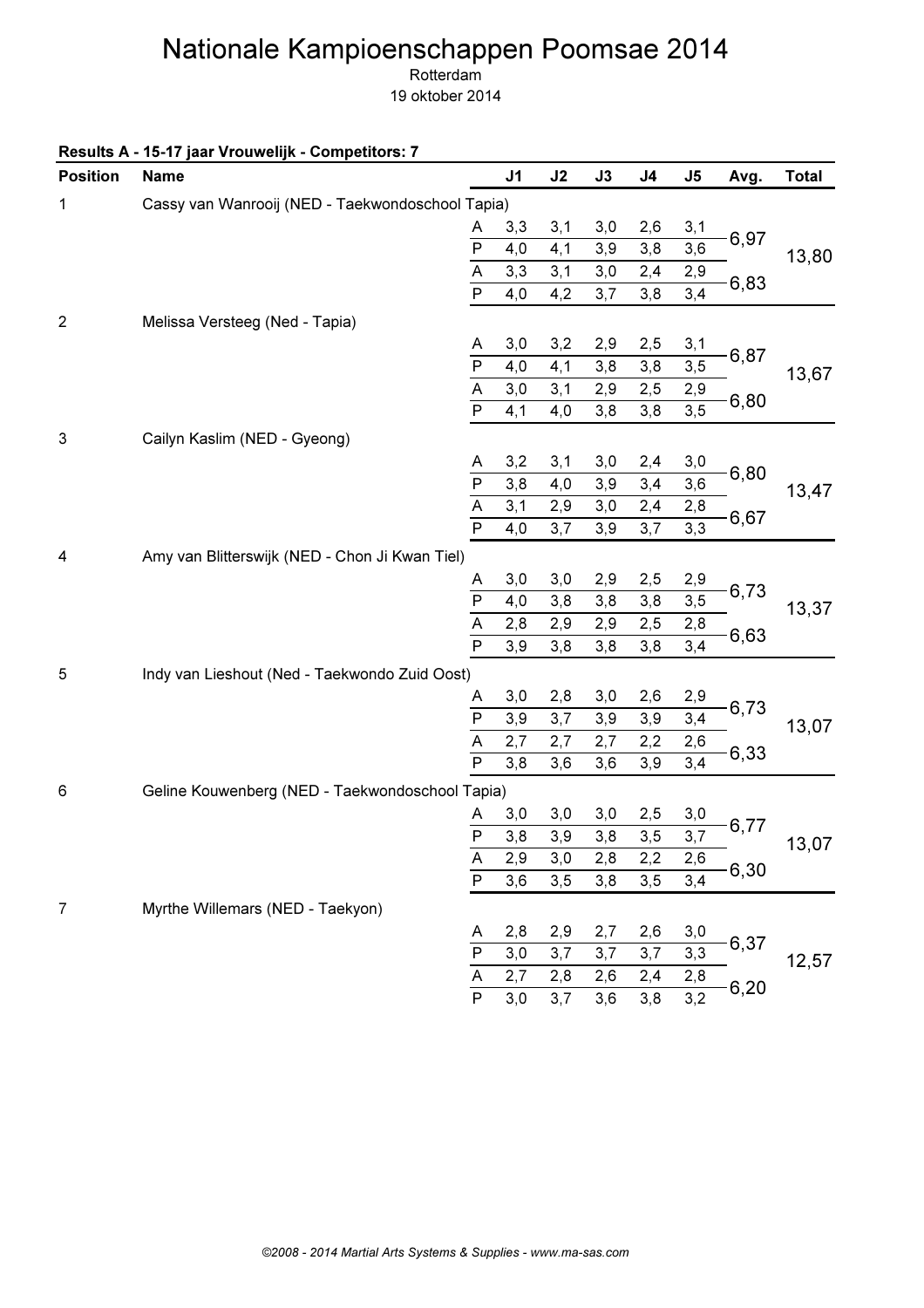Rotterdam 19 oktober 2014

Results A - 15-17 jaar Vrouwelijk - Competitors: 7

| <b>Position</b> | <b>Name</b>                                      |                          | J <sub>1</sub> | J2  | J3  | J <sub>4</sub> | J <sub>5</sub>   | Avg. | <b>Total</b> |
|-----------------|--------------------------------------------------|--------------------------|----------------|-----|-----|----------------|------------------|------|--------------|
| 1               | Cassy van Wanrooij (NED - Taekwondoschool Tapia) |                          |                |     |     |                |                  |      |              |
|                 |                                                  | A                        | 3,3            | 3,1 | 3,0 | 2,6            | 3,1              |      |              |
|                 |                                                  | $\overline{P}$           | 4,0            | 4,1 | 3,9 | 3,8            | 3,6              | 6,97 | 13,80        |
|                 |                                                  | $\overline{A}$           | $3,3$          | 3,1 | 3,0 | 2,4            | 2,9              |      |              |
|                 |                                                  | $\overline{P}$           | 4,0            | 4,2 | 3,7 | 3,8            | 3,4              | 6,83 |              |
| $\overline{2}$  | Melissa Versteeg (Ned - Tapia)                   |                          |                |     |     |                |                  |      |              |
|                 |                                                  | A                        | 3,0            | 3,2 | 2,9 | 2,5            | 3,1              |      |              |
|                 |                                                  | P                        | 4,0            | 4,1 | 3,8 | 3,8            | 3, 5             | 6,87 | 13,67        |
|                 |                                                  | $\overline{A}$           | 3,0            | 3,1 | 2,9 | 2,5            | 2,9              |      |              |
|                 |                                                  | $\overline{P}$           | 4,1            | 4,0 | 3,8 | 3,8            | $\overline{3,5}$ | 6,80 |              |
| $\sqrt{3}$      | Cailyn Kaslim (NED - Gyeong)                     |                          |                |     |     |                |                  |      |              |
|                 |                                                  | A                        | 3,2            | 3,1 | 3,0 | 2,4            | 3,0              |      |              |
|                 |                                                  | $\overline{P}$           | 3,8            | 4,0 | 3,9 | 3,4            | 3,6              | 6,80 | 13,47        |
|                 |                                                  | $\frac{\overline{A}}{P}$ | 3,1            | 2,9 | 3,0 | 2,4            | 2,8              |      |              |
|                 |                                                  |                          | 4,0            | 3,7 | 3,9 | 3,7            | $\overline{3,3}$ | 6,67 |              |
| 4               | Amy van Blitterswijk (NED - Chon Ji Kwan Tiel)   |                          |                |     |     |                |                  |      |              |
|                 |                                                  | A                        | 3,0            | 3,0 | 2,9 | 2,5            | 2,9              |      |              |
|                 |                                                  | $\overline{P}$           | 4,0            | 3,8 | 3,8 | 3,8            | 3,5              | 6,73 | 13,37        |
|                 |                                                  | $\overline{A}$           | 2,8            | 2,9 | 2,9 | 2,5            | 2,8              |      |              |
|                 |                                                  | $\overline{\mathsf{P}}$  | 3,9            | 3,8 | 3,8 | 3,8            | 3,4              | 6,63 |              |
| 5               | Indy van Lieshout (Ned - Taekwondo Zuid Oost)    |                          |                |     |     |                |                  |      |              |
|                 |                                                  | A                        | 3,0            | 2,8 | 3,0 | 2,6            | 2,9              |      |              |
|                 |                                                  | $\overline{P}$           | 3,9            | 3,7 | 3,9 | 3,9            | 3,4              | 6,73 | 13,07        |
|                 |                                                  | $\overline{A}$           | 2,7            | 2,7 | 2,7 | 2,2            | 2,6              |      |              |
|                 |                                                  | $\overline{\mathsf{P}}$  | 3,8            | 3,6 | 3,6 | 3,9            | $\overline{3,4}$ | 6,33 |              |
| 6               | Geline Kouwenberg (NED - Taekwondoschool Tapia)  |                          |                |     |     |                |                  |      |              |
|                 |                                                  | A                        | 3,0            | 3,0 | 3,0 | 2,5            | 3,0              |      |              |
|                 |                                                  | $\overline{P}$           | 3,8            | 3,9 | 3,8 | 3,5            | 3,7              | 6,77 | 13,07        |
|                 |                                                  | A                        | 2,9            | 3,0 | 2,8 | 2,2            | 2,6              |      |              |
|                 |                                                  | $\overline{P}$           | 3,6            | 3,5 | 3,8 | 3,5            | 3,4              | 6,30 |              |
| 7               | Myrthe Willemars (NED - Taekyon)                 |                          |                |     |     |                |                  |      |              |
|                 |                                                  | A                        | 2,8            | 2,9 | 2,7 | 2,6            | 3,0              |      |              |
|                 |                                                  | $\mathsf{P}$             | 3,0            | 3,7 | 3,7 | 3,7            | 3,3              | 6,37 |              |
|                 |                                                  | A                        | 2,7            | 2,8 | 2,6 | 2,4            | 2,8              |      | 12,57        |
|                 |                                                  | $\overline{P}$           | 3,0            | 3,7 | 3,6 | 3,8            | 3,2              | 6,20 |              |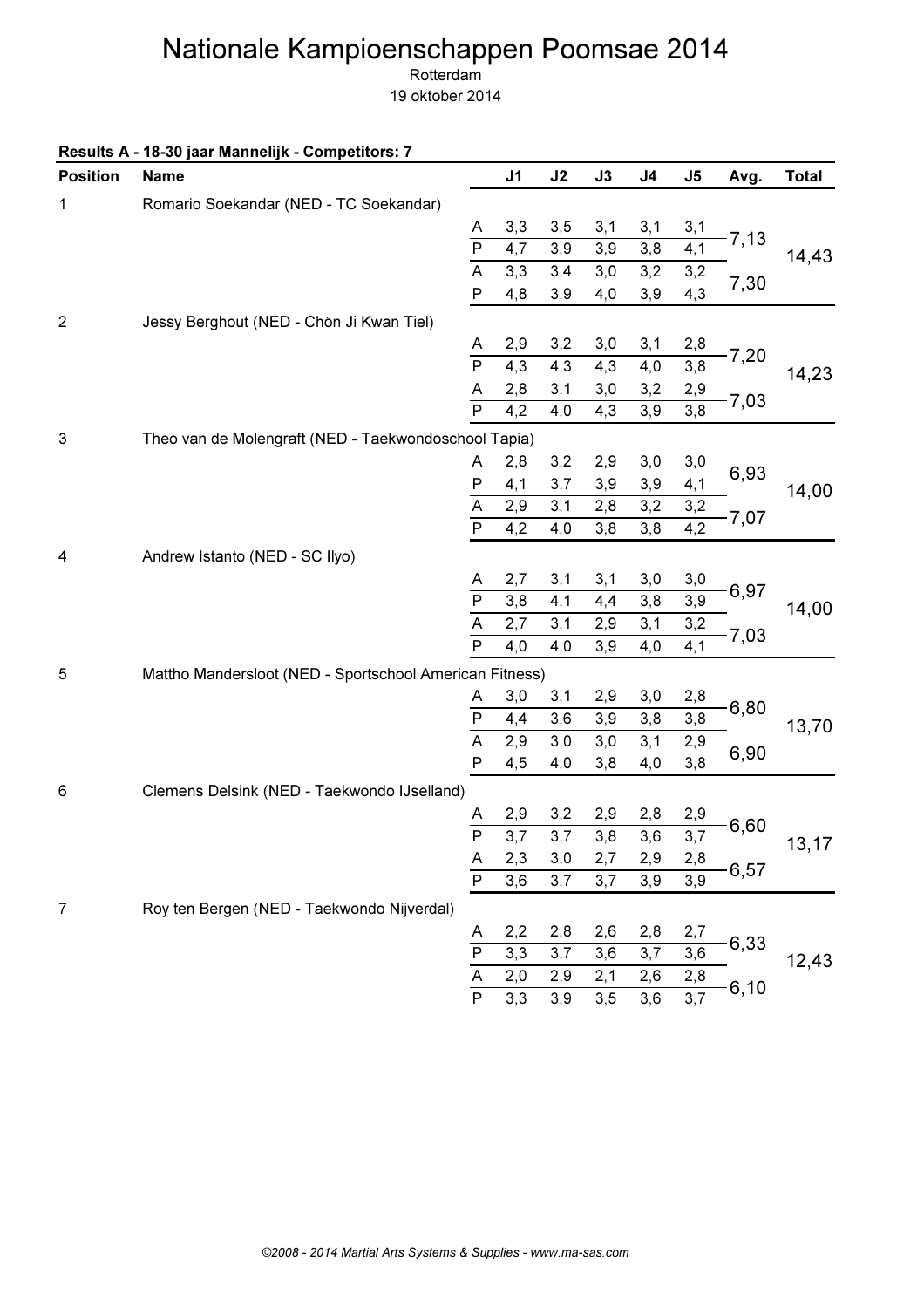Rotterdam

|                 | Results A - 18-30 jaar Mannelijk - Competitors: 7       |                         |                |                  |      |                  |                   |         |              |
|-----------------|---------------------------------------------------------|-------------------------|----------------|------------------|------|------------------|-------------------|---------|--------------|
| <b>Position</b> | <b>Name</b>                                             |                         | J <sub>1</sub> | J2               | J3   | J <sub>4</sub>   | J <sub>5</sub>    | Avg.    | <b>Total</b> |
| 1               | Romario Soekandar (NED - TC Soekandar)                  |                         |                |                  |      |                  |                   |         |              |
|                 |                                                         | A                       | 3,3            | 3,5              | 3,1  | 3,1              | 3,1               |         |              |
|                 |                                                         | $\mathsf{P}$            | 4,7            | 3,9              | 3,9  | 3,8              | 4,1               | $-7,13$ | 14,43        |
|                 |                                                         | A                       | 3,3            | 3,4              | 3,0  | 3,2              |                   |         |              |
|                 |                                                         | $\mathsf{P}$            | 4,8            | 3,9              | 4,0  | 3,9              | $\frac{3,2}{4,3}$ | $-7,30$ |              |
| $\overline{2}$  | Jessy Berghout (NED - Chön Ji Kwan Tiel)                |                         |                |                  |      |                  |                   |         |              |
|                 |                                                         | A                       | 2,9            | 3,2              | 3,0  | 3,1              | 2,8               |         |              |
|                 |                                                         | $\overline{P}$          | 4,3            | 4,3              | 4,3  | 4,0              | 3,8               | 7,20    | 14,23        |
|                 |                                                         | A                       | 2,8            | 3,1              | 3,0  | 3,2              | 2,9               |         |              |
|                 |                                                         | $\mathsf{P}$            | 4,2            | 4,0              | 4,3  | 3,9              | $\frac{1}{3,8}$   | 7,03    |              |
| 3               | Theo van de Molengraft (NED - Taekwondoschool Tapia)    |                         |                |                  |      |                  |                   |         |              |
|                 |                                                         | A                       | 2,8            | 3,2              | 2,9  | 3,0              | 3,0               |         |              |
|                 |                                                         | $\mathsf{P}$            | 4,1            | 3,7              | 3,9  | 3,9              | 4,1               | 6,93    | 14,00        |
|                 |                                                         | $\overline{A}$          | 2,9            | 3,1              | 2,8  | 3,2              | 3,2               |         |              |
|                 |                                                         | $\overline{\mathsf{P}}$ | 4,2            | 4,0              | 3,8  | 3,8              | $\overline{4,2}$  | $-7,07$ |              |
| 4               | Andrew Istanto (NED - SC Ilyo)                          |                         |                |                  |      |                  |                   |         |              |
|                 |                                                         | A                       | 2,7            | 3,1              | 3,1  | 3,0              | 3,0               |         |              |
|                 |                                                         | $\mathsf{P}$            | 3,8            | 4,1              | 4,4  | 3,8              | 3,9               | 6,97    | 14,00        |
|                 |                                                         | $\overline{A}$          | 2,7            | 3,1              | 2,9  | 3,1              | 3,2               |         |              |
|                 |                                                         | $\overline{P}$          | 4,0            | 4,0              | 3,9  | 4,0              | $\overline{4,1}$  | $-7,03$ |              |
| 5               | Mattho Mandersloot (NED - Sportschool American Fitness) |                         |                |                  |      |                  |                   |         |              |
|                 |                                                         | A                       | 3,0            | 3,1              | 2,9  | 3,0              | 2,8               |         |              |
|                 |                                                         | ${\sf P}$               | 4,4            | 3,6              | 3,9  | 3,8              | 3,8               | 6,80    | 13,70        |
|                 |                                                         | A                       | 2,9            | 3,0              | 3,0  | 3,1              | 2,9               |         |              |
|                 |                                                         | $\overline{P}$          | 4,5            | 4,0              | 3,8  | 4,0              | 3,8               | 6,90    |              |
| 6               | Clemens Delsink (NED - Taekwondo IJselland)             |                         |                |                  |      |                  |                   |         |              |
|                 |                                                         | A                       | 2,9            | 3,2              | 2,9  | 2,8              |                   |         |              |
|                 |                                                         | $\overline{P}$          | 3,7            | $\overline{3,7}$ | 3,8  | $\overline{3,6}$ | $\frac{2,9}{3,7}$ | $-6,60$ | 13,17        |
|                 |                                                         | A                       | 2,3            | 3,0              | 2,7  | 2,9              | 2,8               |         |              |
|                 |                                                         | $\overline{P}$          | 3,6            | 3,7              | 3,7  | 3,9              | 3,9               | 6,57    |              |
| 7               | Roy ten Bergen (NED - Taekwondo Nijverdal)              |                         |                |                  |      |                  |                   |         |              |
|                 |                                                         | A                       | 2,2            | 2,8              | 2,6  | 2,8              | 2,7               |         |              |
|                 |                                                         | $\overline{P}$          | 3,3            | 3,7              | 3,6  | 3,7              | 3,6               | 6,33    |              |
|                 |                                                         | A                       | $2,0$          | 2,9              | 2,1  | 2,6              | 2,8               |         | 12,43        |
|                 |                                                         | $\mathsf{P}$            | 3,3            | 3,9              | 3, 5 | 3,6              | $\overline{3,7}$  | 6, 10   |              |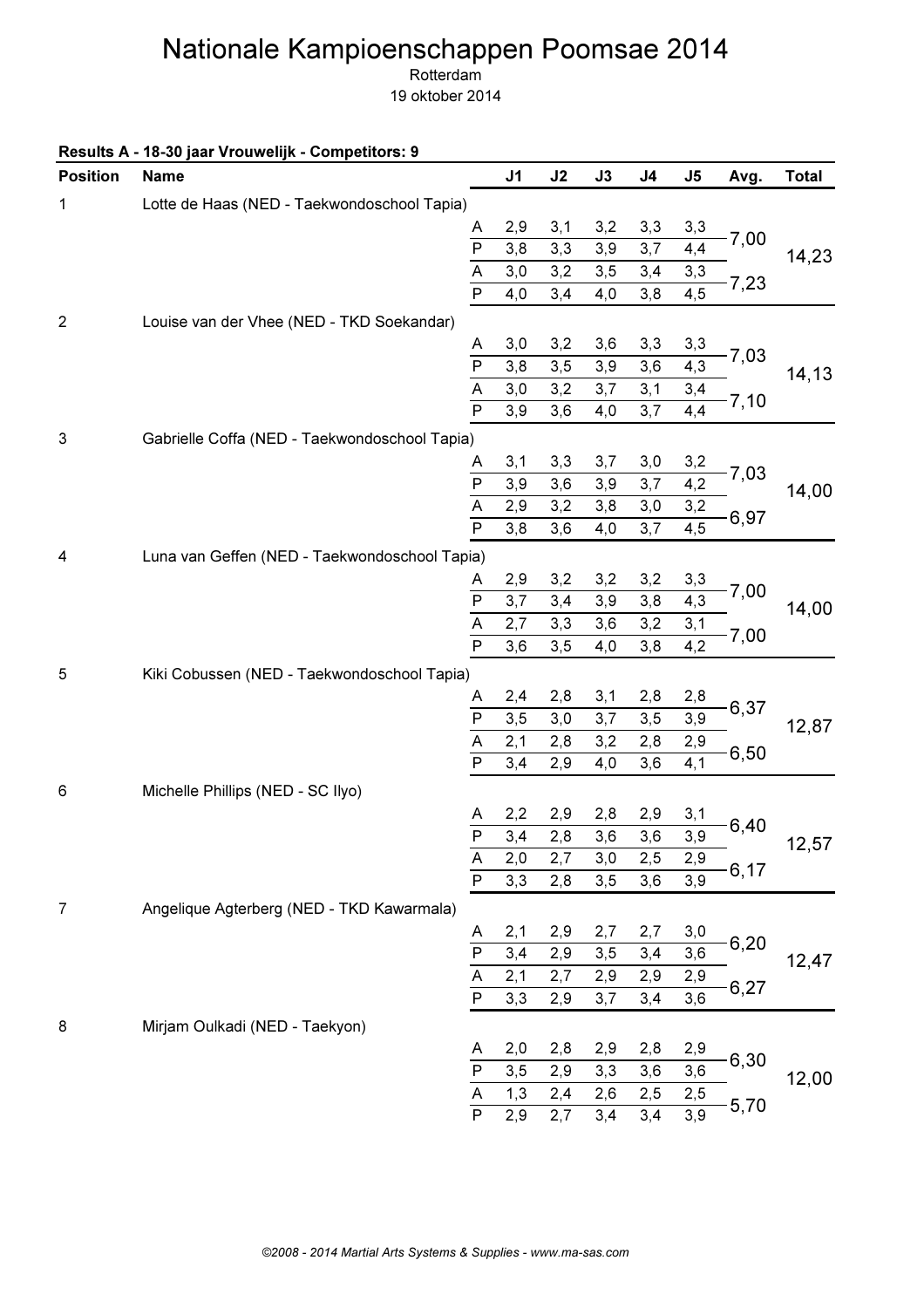Rotterdam 19 oktober 2014

Results A - 18-30 jaar Vrouwelijk - Competitors: 9

| <b>Position</b> | <b>Name</b>                                   |                         | J1  | J2  | J3   | J <sub>4</sub> | J5               | Avg.    | <b>Total</b> |
|-----------------|-----------------------------------------------|-------------------------|-----|-----|------|----------------|------------------|---------|--------------|
| 1               | Lotte de Haas (NED - Taekwondoschool Tapia)   |                         |     |     |      |                |                  |         |              |
|                 |                                               | A                       | 2,9 | 3,1 | 3,2  | 3,3            | 3,3              | 7,00    |              |
|                 |                                               | $\overline{P}$          | 3,8 | 3,3 | 3,9  | 3,7            | 4,4              |         | 14,23        |
|                 |                                               | $\overline{A}$          | 3,0 | 3,2 | 3,5  | 3,4            | 3,3              | 7,23    |              |
|                 |                                               | $\overline{P}$          | 4,0 | 3,4 | 4,0  | 3,8            | $\overline{4,5}$ |         |              |
| $\overline{2}$  | Louise van der Vhee (NED - TKD Soekandar)     |                         |     |     |      |                |                  |         |              |
|                 |                                               | A                       | 3,0 | 3,2 | 3,6  | 3,3            | 3,3              |         |              |
|                 |                                               | $\overline{P}$          | 3,8 | 3,5 | 3,9  | 3,6            | 4,3              | 7,03    | 14,13        |
|                 |                                               | A                       | 3,0 | 3,2 | 3,7  | 3,1            | 3,4              | 7,10    |              |
|                 |                                               | $\mathsf{P}$            | 3,9 | 3,6 | 4,0  | 3,7            | 4,4              |         |              |
| 3               | Gabrielle Coffa (NED - Taekwondoschool Tapia) |                         |     |     |      |                |                  |         |              |
|                 |                                               | A                       | 3,1 | 3,3 | 3,7  | 3,0            | 3,2              |         |              |
|                 |                                               | $\overline{P}$          | 3,9 | 3,6 | 3,9  | 3,7            | 4,2              | 7,03    | 14,00        |
|                 |                                               | $\overline{A}$          | 2,9 | 3,2 | 3,8  | 3,0            | 3,2              |         |              |
|                 |                                               | $\overline{P}$          | 3,8 | 3,6 | 4,0  | 3,7            | $\overline{4,5}$ | 6,97    |              |
| 4               | Luna van Geffen (NED - Taekwondoschool Tapia) |                         |     |     |      |                |                  |         |              |
|                 |                                               | A                       | 2,9 | 3,2 | 3,2  | 3,2            | 3,3              |         |              |
|                 |                                               |                         | 3,7 | 3,4 | 3,9  | 3,8            | 4,3              | 7,00    | 14,00        |
|                 |                                               | $\frac{P}{A}$           | 2,7 | 3,3 | 3,6  | 3,2            | 3,1              |         |              |
|                 |                                               |                         | 3,6 | 3,5 | 4,0  | 3,8            | $\overline{4,2}$ | 7,00    |              |
| 5               | Kiki Cobussen (NED - Taekwondoschool Tapia)   |                         |     |     |      |                |                  |         |              |
|                 |                                               | Α                       | 2,4 | 2,8 | 3,1  | 2,8            | 2,8              |         |              |
|                 |                                               | $\mathsf{P}$            | 3,5 | 3,0 | 3,7  | 3,5            | 3,9              | 6,37    | 12,87        |
|                 |                                               | $\overline{A}$          | 2,1 | 2,8 | 3,2  | 2,8            | 2,9              |         |              |
|                 |                                               | $\overline{\mathsf{P}}$ | 3,4 | 2,9 | 4,0  | 3,6            | 4,1              | 6,50    |              |
| 6               | Michelle Phillips (NED - SC Ilyo)             |                         |     |     |      |                |                  |         |              |
|                 |                                               | A                       | 2,2 | 2,9 | 2,8  | 2,9            | 3,1              |         |              |
|                 |                                               | $\overline{P}$          | 3,4 | 2,8 | 3,6  | 3,6            | 3,9              | 6,40    | 12,57        |
|                 |                                               | A                       | 2,0 | 2,7 | 3,0  | 2,5            | 2,9              |         |              |
|                 |                                               | $\overline{P}$          | 3,3 | 2,8 | 3, 5 | 3,6            | 3,9              | 6,17    |              |
| $\overline{7}$  | Angelique Agterberg (NED - TKD Kawarmala)     |                         |     |     |      |                |                  |         |              |
|                 |                                               | A                       | 2,1 | 2,9 | 2,7  | 2,7            | 3,0              |         |              |
|                 |                                               | $\overline{P}$          | 3,4 | 2,9 | 3,5  | 3,4            | $\overline{3,6}$ | 6,20    | 12,47        |
|                 |                                               | $\overline{A}$          | 2,1 | 2,7 | 2,9  | 2,9            | 2,9              |         |              |
|                 |                                               | $\overline{\mathsf{P}}$ | 3,3 | 2,9 | 3,7  | 3,4            | 3,6              | 6,27    |              |
| 8               | Mirjam Oulkadi (NED - Taekyon)                |                         |     |     |      |                |                  |         |              |
|                 |                                               | A                       | 2,0 | 2,8 | 2,9  | 2,8            | 2,9              |         |              |
|                 |                                               | $\mathsf{P}$            | 3,5 | 2,9 | 3,3  | 3,6            | 3,6              | 6,30    | 12,00        |
|                 |                                               | $\overline{A}$          | 1,3 | 2,4 | 2,6  | 2,5            | 2,5              |         |              |
|                 |                                               | $\overline{P}$          | 2,9 | 2,7 | 3,4  | 3,4            | $\overline{3,9}$ | $-5,70$ |              |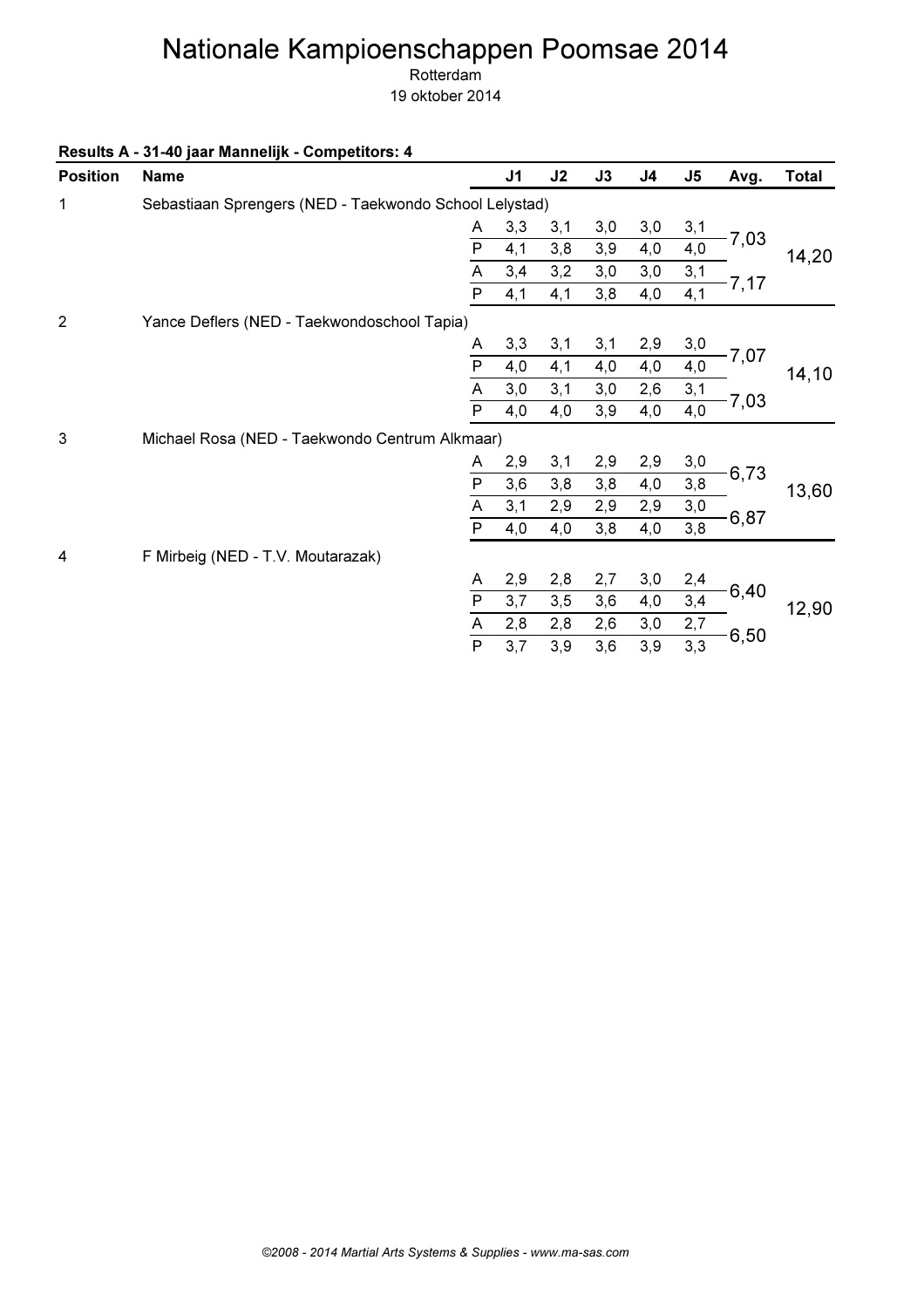Rotterdam

| <b>Position</b> | <b>Name</b>                                            |                | J <sub>1</sub> | J2  | J3  | J4  | J <sub>5</sub> | Avg. | <b>Total</b> |
|-----------------|--------------------------------------------------------|----------------|----------------|-----|-----|-----|----------------|------|--------------|
| 1               | Sebastiaan Sprengers (NED - Taekwondo School Lelystad) |                |                |     |     |     |                |      |              |
|                 |                                                        | A              | 3,3            | 3,1 | 3,0 | 3,0 | 3,1            |      |              |
|                 |                                                        | $\overline{P}$ | 4,1            | 3,8 | 3,9 | 4,0 | 4,0            | 7,03 | 14,20        |
|                 |                                                        | A              | 3,4            | 3,2 | 3,0 | 3,0 | 3,1            |      |              |
|                 |                                                        | $\overline{P}$ | 4,1            | 4,1 | 3,8 | 4,0 | 4,1            | 7,17 |              |
| $\overline{2}$  | Yance Deflers (NED - Taekwondoschool Tapia)            |                |                |     |     |     |                |      |              |
|                 |                                                        | A              | 3,3            | 3,1 | 3,1 | 2,9 | 3,0            |      |              |
|                 |                                                        | P              | 4,0            | 4,1 | 4,0 | 4,0 | 4,0            | 7,07 | 14, 10       |
|                 |                                                        | A              | 3,0            | 3,1 | 3,0 | 2,6 | 3,1            | 7,03 |              |
|                 |                                                        | ${\sf P}$      | 4,0            | 4,0 | 3,9 | 4,0 | 4,0            |      |              |
| 3               | Michael Rosa (NED - Taekwondo Centrum Alkmaar)         |                |                |     |     |     |                |      |              |
|                 |                                                        | A              | 2,9            | 3,1 | 2,9 | 2,9 | 3,0            |      |              |
|                 |                                                        | P              | 3,6            | 3,8 | 3,8 | 4,0 | 3,8            | 6,73 | 13,60        |
|                 |                                                        | A              | 3,1            | 2,9 | 2,9 | 2,9 | 3,0            |      |              |
|                 |                                                        | $\overline{P}$ | 4,0            | 4,0 | 3,8 | 4,0 | 3,8            | 6,87 |              |
| 4               | F Mirbeig (NED - T.V. Moutarazak)                      |                |                |     |     |     |                |      |              |
|                 |                                                        | A              | 2,9            | 2,8 | 2,7 | 3,0 | 2,4            |      |              |
|                 |                                                        | ${\sf P}$      | 3,7            | 3,5 | 3,6 | 4,0 | 3,4            | 6,40 | 12,90        |
|                 |                                                        | A              | 2,8            | 2,8 | 2,6 | 3,0 | 2,7            |      |              |
|                 |                                                        | $\overline{P}$ | 3,7            | 3,9 | 3,6 | 3,9 | 3,3            | 6,50 |              |
|                 |                                                        |                |                |     |     |     |                |      |              |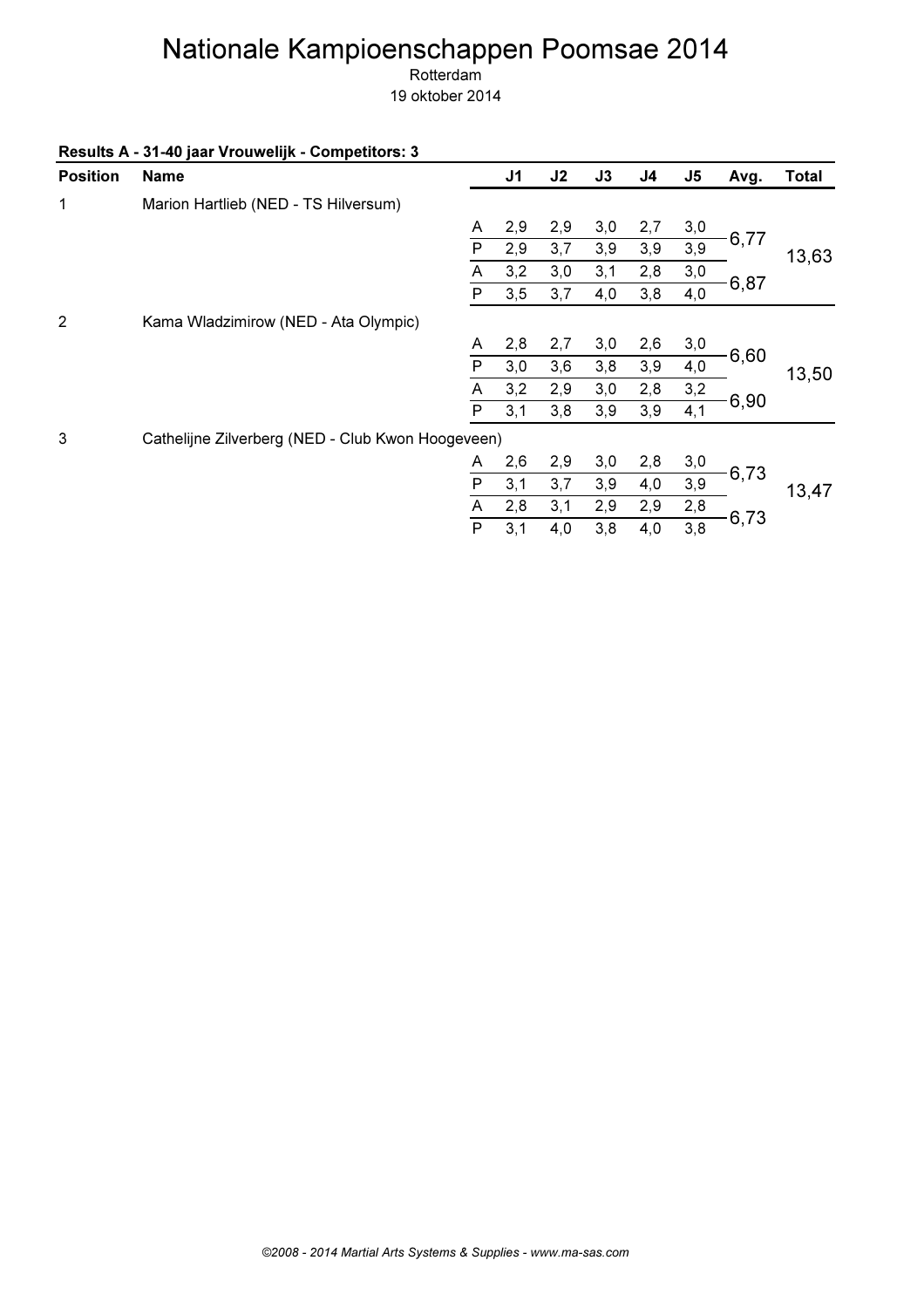Rotterdam

|  |  | Results A - 31-40 jaar Vrouwelijk - Competitors: 3 |
|--|--|----------------------------------------------------|
|--|--|----------------------------------------------------|

| <b>Position</b> | <b>Name</b>                                       |   | J <sub>1</sub> | J2  | J3  | J <sub>4</sub> | J <sub>5</sub> | Avg. | <b>Total</b> |
|-----------------|---------------------------------------------------|---|----------------|-----|-----|----------------|----------------|------|--------------|
| 1               | Marion Hartlieb (NED - TS Hilversum)              |   |                |     |     |                |                |      |              |
|                 |                                                   | A | 2,9            | 2,9 | 3,0 | 2,7            | 3,0            |      |              |
|                 |                                                   | P | 2,9            | 3,7 | 3,9 | 3,9            | 3,9            | 6,77 | 13,63        |
|                 |                                                   | A | 3,2            | 3,0 | 3,1 | 2,8            | 3,0            |      |              |
|                 |                                                   | P | 3,5            | 3,7 | 4,0 | 3,8            | 4,0            | 6,87 |              |
| 2               | Kama Wladzimirow (NED - Ata Olympic)              |   |                |     |     |                |                |      |              |
|                 |                                                   | A | 2,8            | 2,7 | 3,0 | 2,6            | 3,0            |      |              |
|                 |                                                   | P | 3,0            | 3,6 | 3,8 | 3,9            | 4,0            | 6,60 | 13,50        |
|                 |                                                   | Α | 3,2            | 2,9 | 3,0 | 2,8            | 3,2            |      |              |
|                 |                                                   | P | 3,1            | 3,8 | 3,9 | 3,9            | 4,1            | 6,90 |              |
| 3               | Cathelijne Zilverberg (NED - Club Kwon Hoogeveen) |   |                |     |     |                |                |      |              |
|                 |                                                   | A | 2,6            | 2,9 | 3,0 | 2,8            | 3,0            |      |              |
|                 |                                                   | P | 3,1            | 3,7 | 3,9 | 4,0            | 3,9            | 6,73 | 13,47        |
|                 |                                                   | A | 2,8            | 3,1 | 2,9 | 2,9            | 2,8            |      |              |
|                 |                                                   | P | 3,1            | 4,0 | 3,8 | 4,0            | 3,8            | 6,73 |              |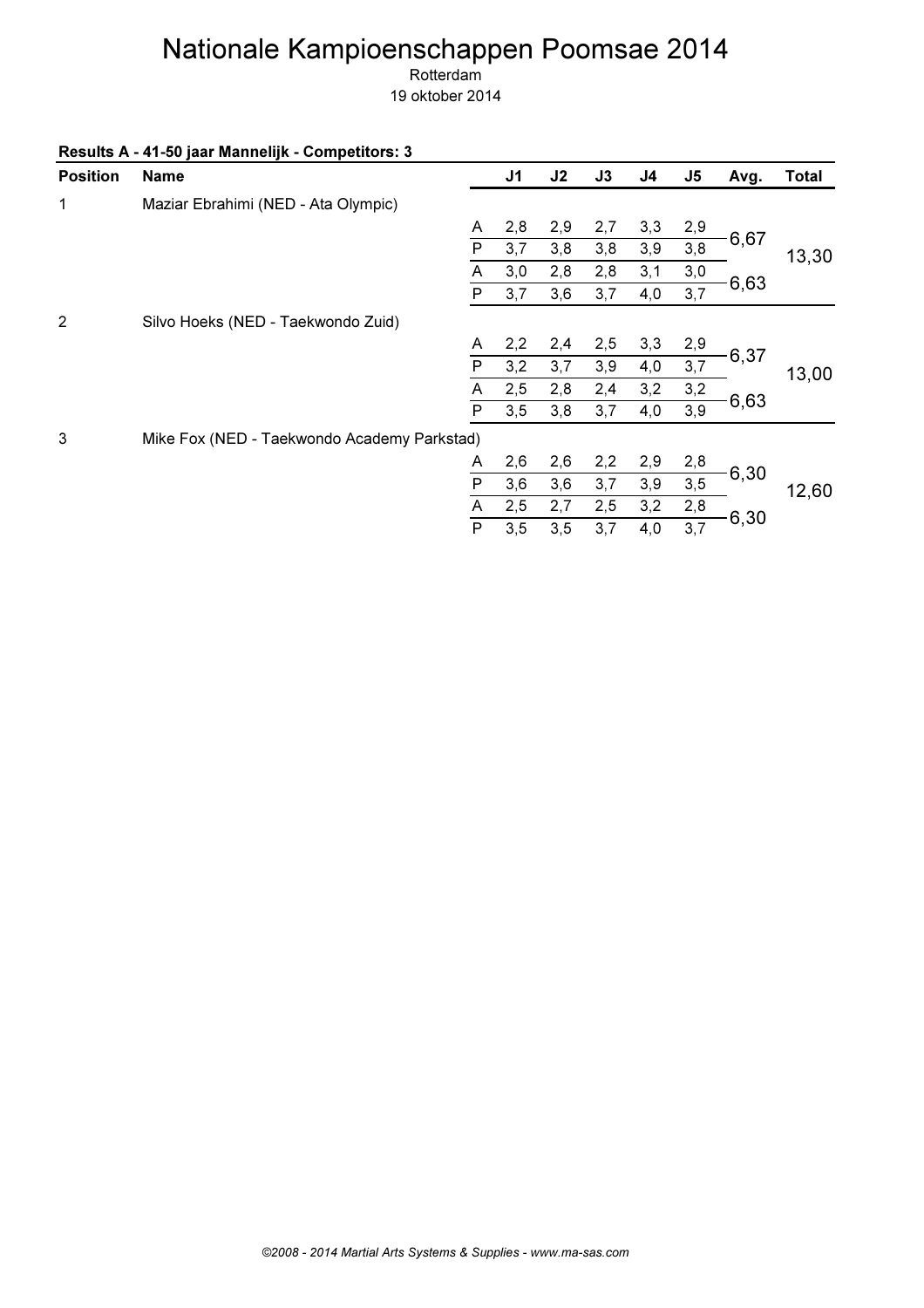Rotterdam

| Results A - 41-50 jaar Mannelijk - Competitors: 3 |  |  |
|---------------------------------------------------|--|--|
|---------------------------------------------------|--|--|

| <b>Position</b> | <b>Name</b>                                 |              | J <sub>1</sub> | J2  | J3  | J4  | J <sub>5</sub> | Avg. | <b>Total</b> |
|-----------------|---------------------------------------------|--------------|----------------|-----|-----|-----|----------------|------|--------------|
| 1               | Maziar Ebrahimi (NED - Ata Olympic)         |              |                |     |     |     |                |      |              |
|                 |                                             | A            | 2,8            | 2,9 | 2,7 | 3,3 | 2,9            |      |              |
|                 |                                             | P            | 3,7            | 3,8 | 3,8 | 3,9 | 3,8            | 6,67 | 13,30        |
|                 |                                             | A            | 3,0            | 2,8 | 2,8 | 3,1 | 3,0            |      |              |
|                 |                                             | $\mathsf{P}$ | 3,7            | 3,6 | 3,7 | 4,0 | 3,7            | 6,63 |              |
| 2               | Silvo Hoeks (NED - Taekwondo Zuid)          |              |                |     |     |     |                |      |              |
|                 |                                             | A            | 2,2            | 2,4 | 2,5 | 3,3 | 2,9            |      |              |
|                 |                                             | P            | 3,2            | 3,7 | 3,9 | 4,0 | 3,7            | 6,37 | 13,00        |
|                 |                                             | Α            | 2,5            | 2,8 | 2,4 | 3,2 | 3,2            |      |              |
|                 |                                             | P            | 3,5            | 3,8 | 3,7 | 4,0 | 3,9            | 6,63 |              |
| 3               | Mike Fox (NED - Taekwondo Academy Parkstad) |              |                |     |     |     |                |      |              |
|                 |                                             | A            | 2,6            | 2,6 | 2,2 | 2,9 | 2,8            |      |              |
|                 |                                             | P            | 3,6            | 3,6 | 3,7 | 3,9 | 3,5            | 6,30 | 12,60        |
|                 |                                             | Α            | 2,5            | 2,7 | 2,5 | 3,2 | 2,8            |      |              |
|                 |                                             | P            | 3,5            | 3,5 | 3,7 | 4,0 | 3,7            | 6,30 |              |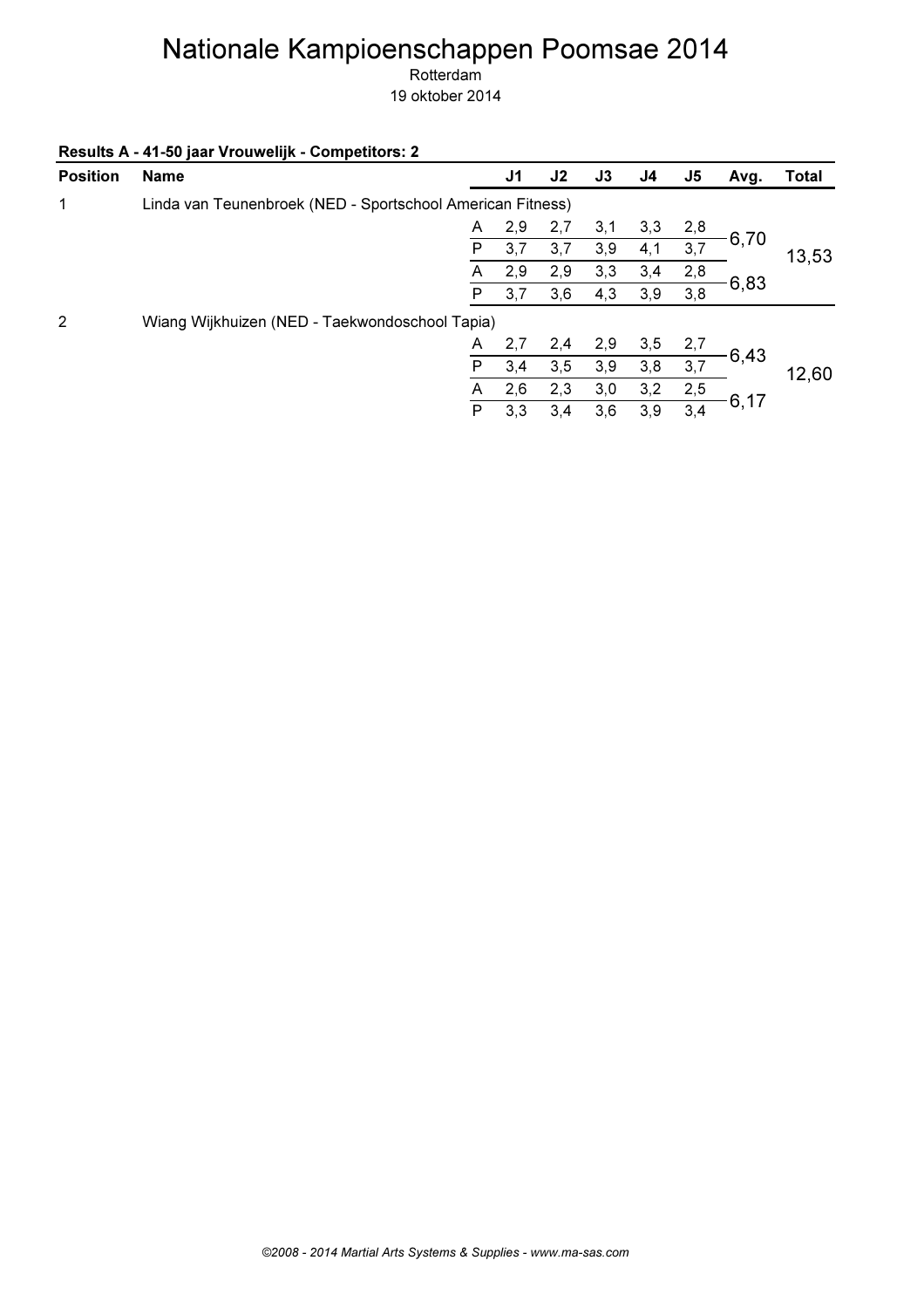Rotterdam

| Results A - 41-50 jaar Vrouwelijk - Competitors: 2 |  |
|----------------------------------------------------|--|
|                                                    |  |

| <b>Position</b> | <b>Name</b>                                                |     | J <sub>1</sub> | J2  | J3  | J <sub>4</sub> | J5   | Avg.  | <b>Total</b> |
|-----------------|------------------------------------------------------------|-----|----------------|-----|-----|----------------|------|-------|--------------|
| 1               | Linda van Teunenbroek (NED - Sportschool American Fitness) |     |                |     |     |                |      |       |              |
|                 |                                                            | A   | 2,9            | 2,7 | 3,1 | 3,3            | 2,8  |       |              |
|                 |                                                            | P   | 3,7            | 3,7 | 3,9 | 4,1            | 3,7  | 6,70  | 13,53        |
|                 |                                                            | A   | 2,9            | 2,9 | 3,3 | 3,4            | 2,8  |       |              |
|                 |                                                            | Р   | 3,7            | 3,6 | 4,3 | 3,9            | 3,8  | -6,83 |              |
| 2               | Wiang Wijkhuizen (NED - Taekwondoschool Tapia)             |     |                |     |     |                |      |       |              |
|                 |                                                            | A   | 2,7            | 2,4 | 2,9 | 3,5            | 2,7  |       |              |
|                 |                                                            | P   | 3,4            | 3,5 | 3,9 | 3,8            | 3,7  | 6,43  | 12,60        |
|                 |                                                            | A   | 2,6            | 2,3 | 3,0 | 3,2            | 2,5  |       |              |
|                 | P                                                          | 3,3 | 3,4            | 3,6 | 3,9 | 3,4            | 6,17 |       |              |
|                 |                                                            |     |                |     |     |                |      |       |              |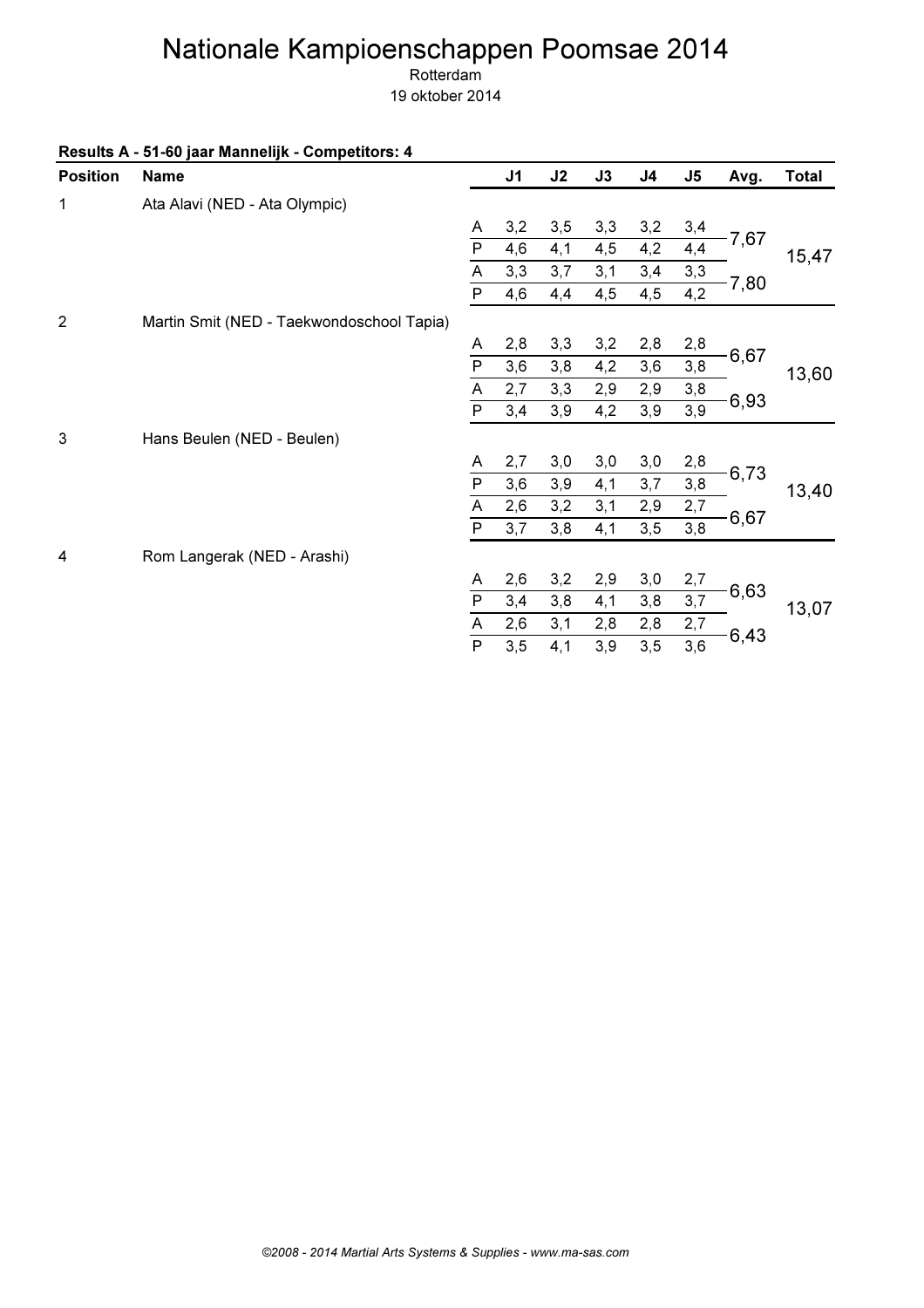Rotterdam

|                 | Results A - 51-60 jaar Mannelijk - Competitors: 4 |                |                |     |     |                |               |      |              |
|-----------------|---------------------------------------------------|----------------|----------------|-----|-----|----------------|---------------|------|--------------|
| <b>Position</b> | <b>Name</b>                                       |                | J <sub>1</sub> | J2  | J3  | J <sub>4</sub> | $\mathsf{J5}$ | Avg. | <b>Total</b> |
| $\mathbf{1}$    | Ata Alavi (NED - Ata Olympic)                     |                |                |     |     |                |               |      |              |
|                 |                                                   | Α              | 3,2            | 3,5 | 3,3 | 3,2            | 3,4           |      |              |
|                 |                                                   | $\overline{P}$ | 4,6            | 4,1 | 4,5 | 4,2            | 4,4           | 7,67 | 15,47        |
|                 |                                                   | A              | 3,3            | 3,7 | 3,1 | 3,4            | 3,3           |      |              |
|                 |                                                   | $\overline{P}$ | 4,6            | 4,4 | 4,5 | 4,5            | 4,2           | 7,80 |              |
| $\overline{2}$  | Martin Smit (NED - Taekwondoschool Tapia)         |                |                |     |     |                |               |      |              |
|                 |                                                   | Α              | 2,8            | 3,3 | 3,2 | 2,8            | 2,8           |      |              |
|                 |                                                   | ${\sf P}$      | 3,6            | 3,8 | 4,2 | 3,6            | 3,8           | 6,67 | 13,60        |
|                 |                                                   | A              | 2,7            | 3,3 | 2,9 | 2,9            | 3,8           | 6,93 |              |
|                 |                                                   | $\overline{P}$ | 3,4            | 3,9 | 4,2 | 3,9            | 3,9           |      |              |
| 3               | Hans Beulen (NED - Beulen)                        |                |                |     |     |                |               |      |              |
|                 |                                                   | A              | 2,7            | 3,0 | 3,0 | 3,0            | 2,8           |      |              |
|                 |                                                   | $\overline{P}$ | 3,6            | 3,9 | 4,1 | 3,7            | 3,8           | 6,73 | 13,40        |
|                 |                                                   | A              | 2,6            | 3,2 | 3,1 | 2,9            | 2,7           |      |              |
|                 |                                                   | $\overline{P}$ | 3,7            | 3,8 | 4,1 | 3,5            | 3,8           | 6,67 |              |
| 4               | Rom Langerak (NED - Arashi)                       |                |                |     |     |                |               |      |              |
|                 |                                                   | A              | 2,6            | 3,2 | 2,9 | 3,0            | 2,7           |      |              |
|                 |                                                   | $\overline{P}$ | 3,4            | 3,8 | 4,1 | 3,8            | 3,7           | 6,63 | 13,07        |
|                 |                                                   | A              | 2,6            | 3,1 | 2,8 | 2,8            | 2,7           | 6,43 |              |
|                 |                                                   | $\overline{P}$ | 3,5            | 4,1 | 3,9 | 3,5            | 3,6           |      |              |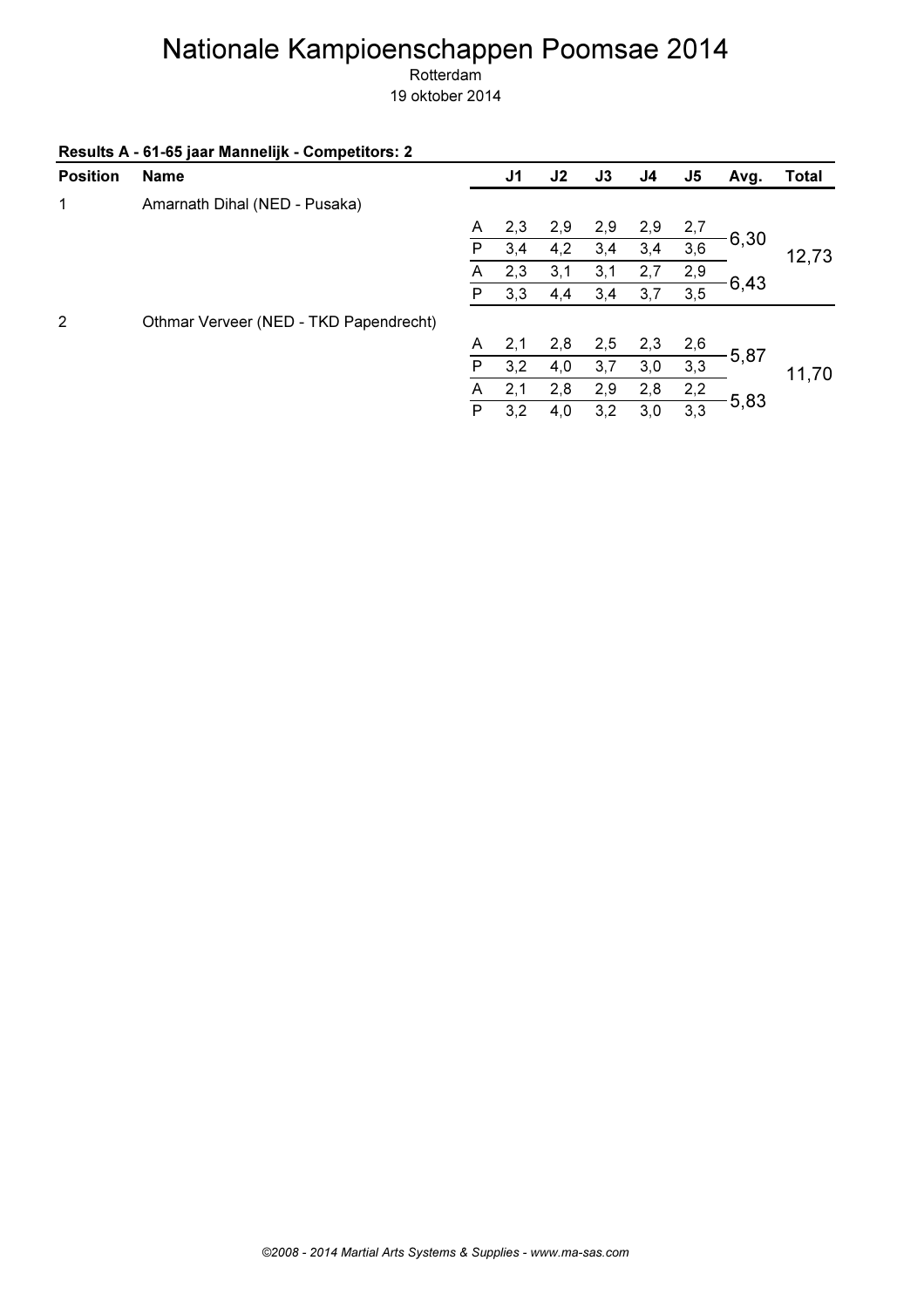Rotterdam

| Results A - 61-65 jaar Mannelijk - Competitors: 2 |  |  |
|---------------------------------------------------|--|--|
|---------------------------------------------------|--|--|

| <b>Position</b> | <b>Name</b>                            |   | J1  | J2  | J3  | J4  | J <sub>5</sub> | Avg.    | <b>Total</b> |
|-----------------|----------------------------------------|---|-----|-----|-----|-----|----------------|---------|--------------|
| 1               | Amarnath Dihal (NED - Pusaka)          |   |     |     |     |     |                |         |              |
|                 |                                        | A | 2,3 | 2,9 | 2,9 | 2,9 | 2,7            |         |              |
|                 |                                        | P | 3,4 | 4,2 | 3,4 | 3,4 | 3,6            | 6,30    | 12,73        |
|                 |                                        | A | 2,3 | 3,1 | 3,1 | 2,7 | 2,9            |         |              |
|                 |                                        | P | 3,3 | 4,4 | 3,4 | 3,7 | 3,5            | $-6,43$ |              |
| 2               | Othmar Verveer (NED - TKD Papendrecht) |   |     |     |     |     |                |         |              |
|                 |                                        | A | 2,1 | 2,8 | 2,5 | 2,3 | 2,6            |         |              |
|                 |                                        | P | 3,2 | 4,0 | 3,7 | 3,0 | 3,3            | 5,87    | 11,70        |
|                 |                                        | A | 2,1 | 2,8 | 2,9 | 2,8 | 2,2            |         |              |
|                 |                                        | P | 3,2 | 4,0 | 3,2 | 3,0 | 3,3            | $-5,83$ |              |
|                 |                                        |   |     |     |     |     |                |         |              |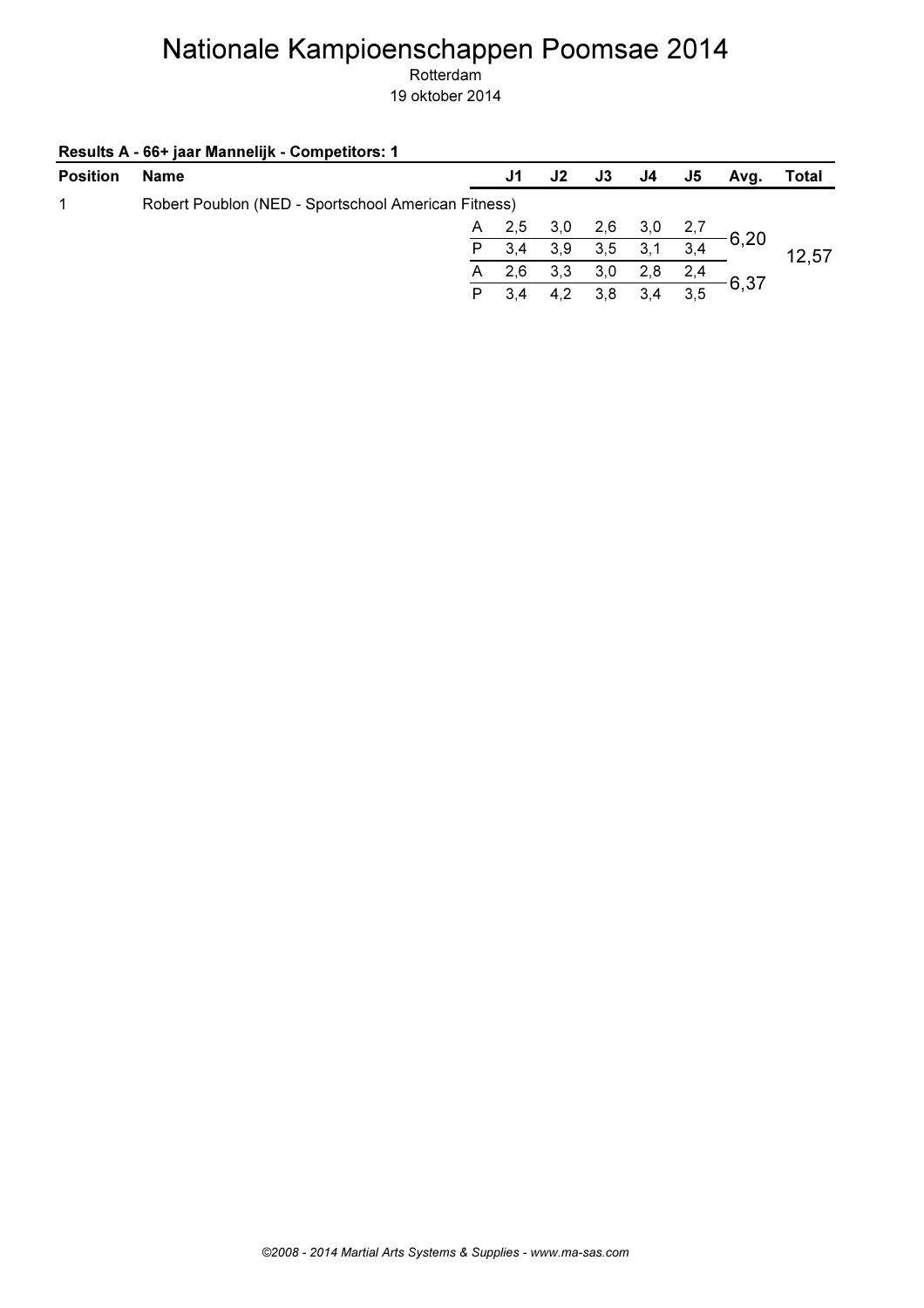|  |  | Results A - 66+ jaar Mannelijk - Competitors: 1 |
|--|--|-------------------------------------------------|
|--|--|-------------------------------------------------|

| <b>Name</b> | J1          | J2                                                        | J3                 | J4  | J5  | Avq. | Total        |
|-------------|-------------|-----------------------------------------------------------|--------------------|-----|-----|------|--------------|
|             |             |                                                           |                    |     |     |      |              |
|             |             |                                                           | 2,6                |     |     |      |              |
|             | 3,4         |                                                           | 3,5                | 3,1 | 3,4 |      | 12,57        |
|             | 2,6         | 3,3                                                       | 3,0                | 2,8 | 2,4 |      |              |
|             | 3,4         | 4,2                                                       | 3.8                | 3.4 | 3,5 |      |              |
|             | P<br>A<br>P | Robert Poublon (NED - Sportschool American Fitness)<br>A, | $2,5$ $3,0$<br>3,9 |     | 3,0 | 2,7  | 6,20<br>6,37 |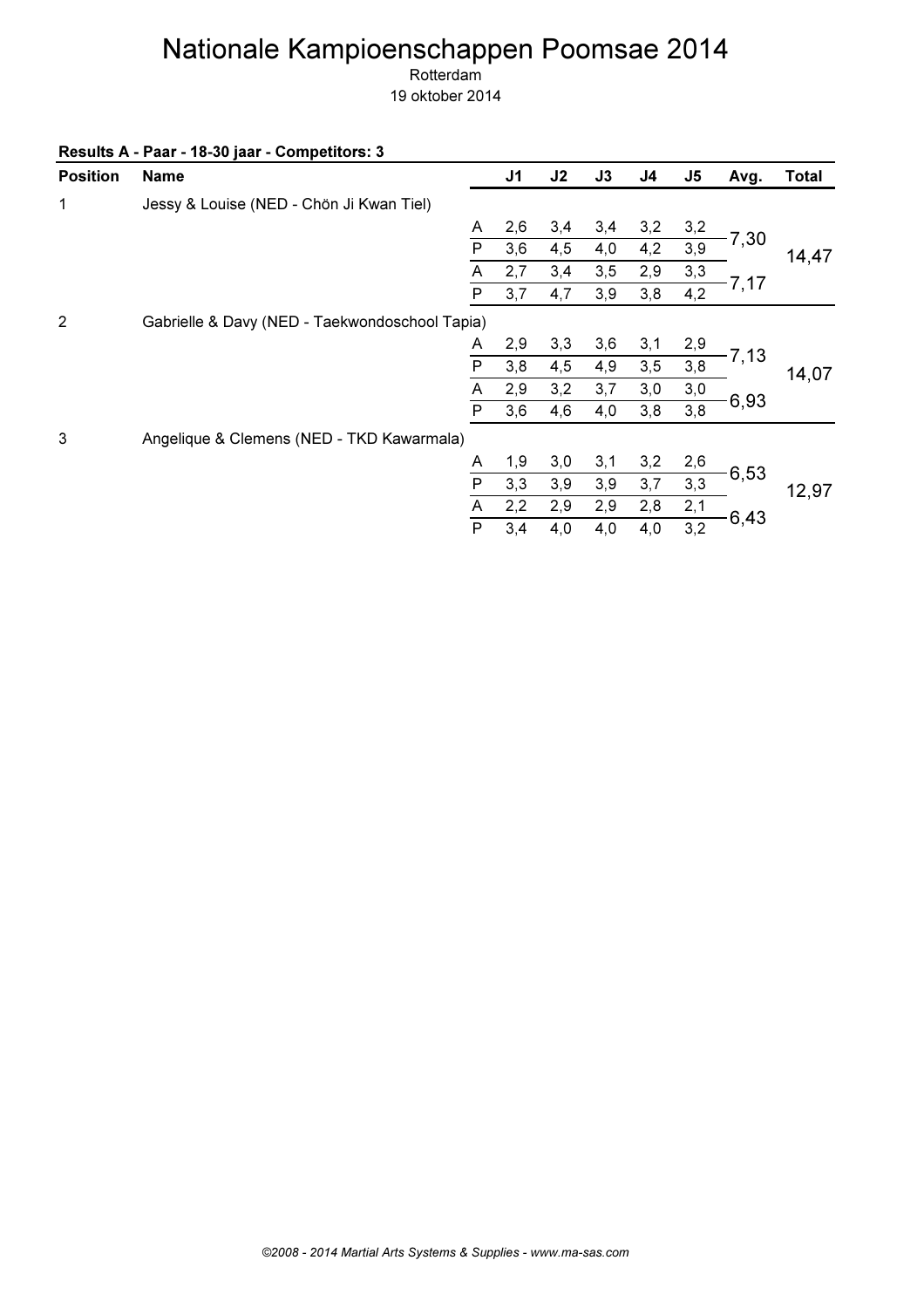Rotterdam

| Results A - Paar - 18-30 jaar - Competitors: 3 |  |
|------------------------------------------------|--|
|------------------------------------------------|--|

| <b>Position</b> | <b>Name</b>                                    |              | J <sub>1</sub> | J2  | J3  | J <sub>4</sub> | J <sub>5</sub> | Avg.    | <b>Total</b> |
|-----------------|------------------------------------------------|--------------|----------------|-----|-----|----------------|----------------|---------|--------------|
| 1               | Jessy & Louise (NED - Chön Ji Kwan Tiel)       |              |                |     |     |                |                |         |              |
|                 |                                                | A            | 2,6            | 3,4 | 3,4 | 3,2            | 3,2            |         |              |
|                 |                                                | $\mathsf{P}$ | 3,6            | 4,5 | 4,0 | 4,2            | 3,9            | 7,30    | 14,47        |
|                 |                                                | A            | 2,7            | 3,4 | 3,5 | 2,9            | 3,3            |         |              |
|                 |                                                | ${\sf P}$    | 3,7            | 4,7 | 3,9 | 3,8            | 4,2            | $-7,17$ |              |
| $\overline{2}$  | Gabrielle & Davy (NED - Taekwondoschool Tapia) |              |                |     |     |                |                |         |              |
|                 |                                                | A            | 2,9            | 3,3 | 3,6 | 3,1            | 2,9            |         |              |
|                 |                                                | P            | 3,8            | 4,5 | 4,9 | 3,5            | 3,8            | 7,13    | 14,07        |
|                 |                                                | A            | 2,9            | 3,2 | 3,7 | 3,0            | 3,0            |         |              |
|                 |                                                | P            | 3,6            | 4,6 | 4,0 | 3,8            | 3,8            | 6,93    |              |
| 3               | Angelique & Clemens (NED - TKD Kawarmala)      |              |                |     |     |                |                |         |              |
|                 |                                                | A            | 1,9            | 3,0 | 3,1 | 3,2            | 2,6            |         |              |
|                 |                                                | P            | 3,3            | 3,9 | 3,9 | 3,7            | 3,3            | 6,53    | 12,97        |
|                 |                                                | A            | 2,2            | 2,9 | 2,9 | 2,8            | 2,1            |         |              |
|                 |                                                | ${\sf P}$    | 3,4            | 4,0 | 4,0 | 4,0            | 3,2            | $-6,43$ |              |
|                 |                                                |              |                |     |     |                |                |         |              |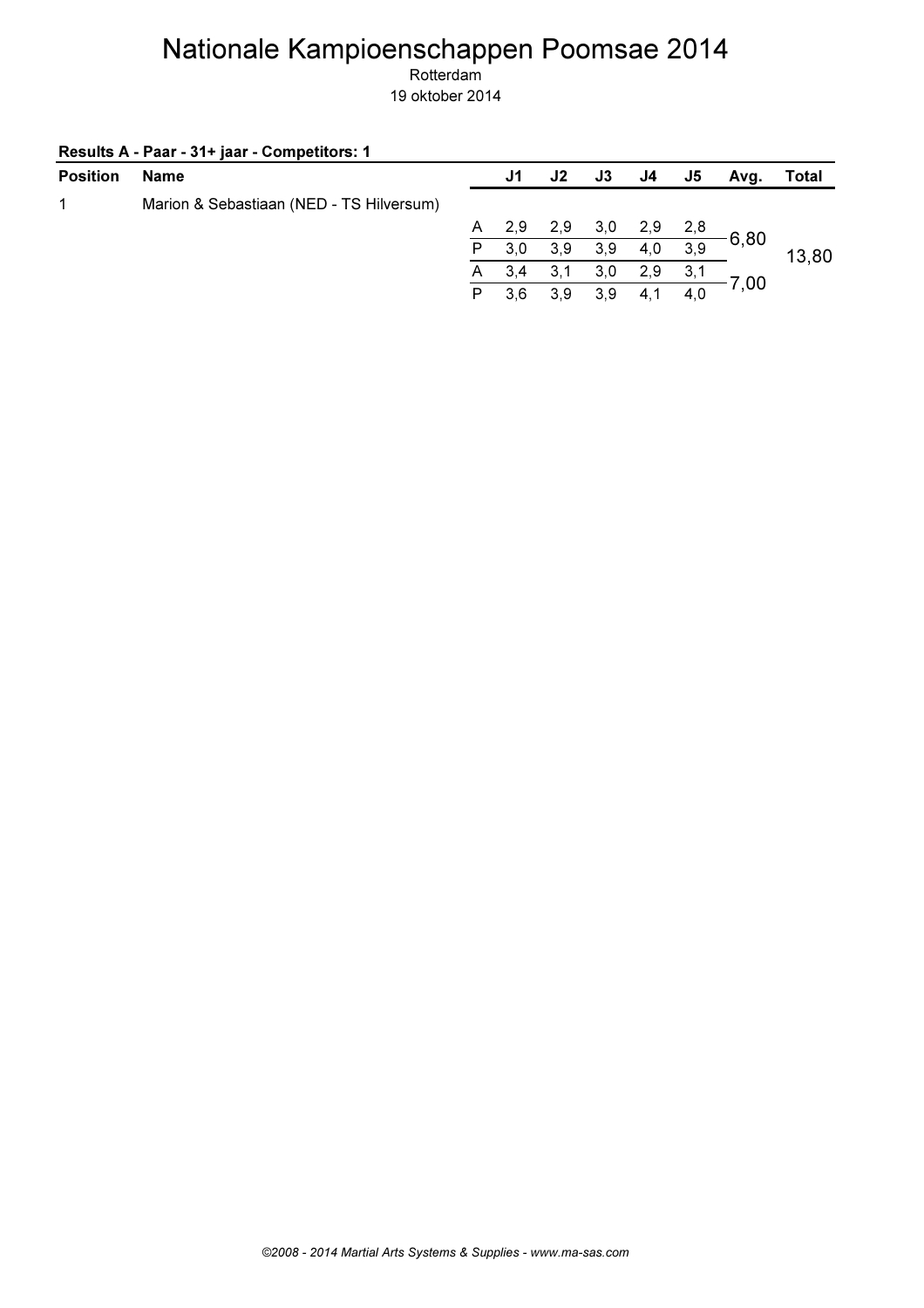Rotterdam 19 oktober 2014

#### Results A - Paar - 31+ jaar - Competitors: 1

| <b>Position</b> | <b>Name</b>                              |   | J1  | J <sub>2</sub> | J3  | J4  | J5  | Avg. | Total |
|-----------------|------------------------------------------|---|-----|----------------|-----|-----|-----|------|-------|
| 1               | Marion & Sebastiaan (NED - TS Hilversum) |   |     |                |     |     |     |      |       |
|                 |                                          | A | 2,9 | 2,9            | 3,0 | 2,9 | 2,8 |      |       |
|                 |                                          | P | 3,0 | 3,9            | 3,9 | 4,0 | 3,9 | 6,80 | 13,80 |
|                 |                                          | A | 3,4 | 3,1            | 3,0 | 2,9 | 3,1 |      |       |
|                 |                                          | P | 3.6 | 3.9            | 3.9 | 4.1 | 4,0 | 7,00 |       |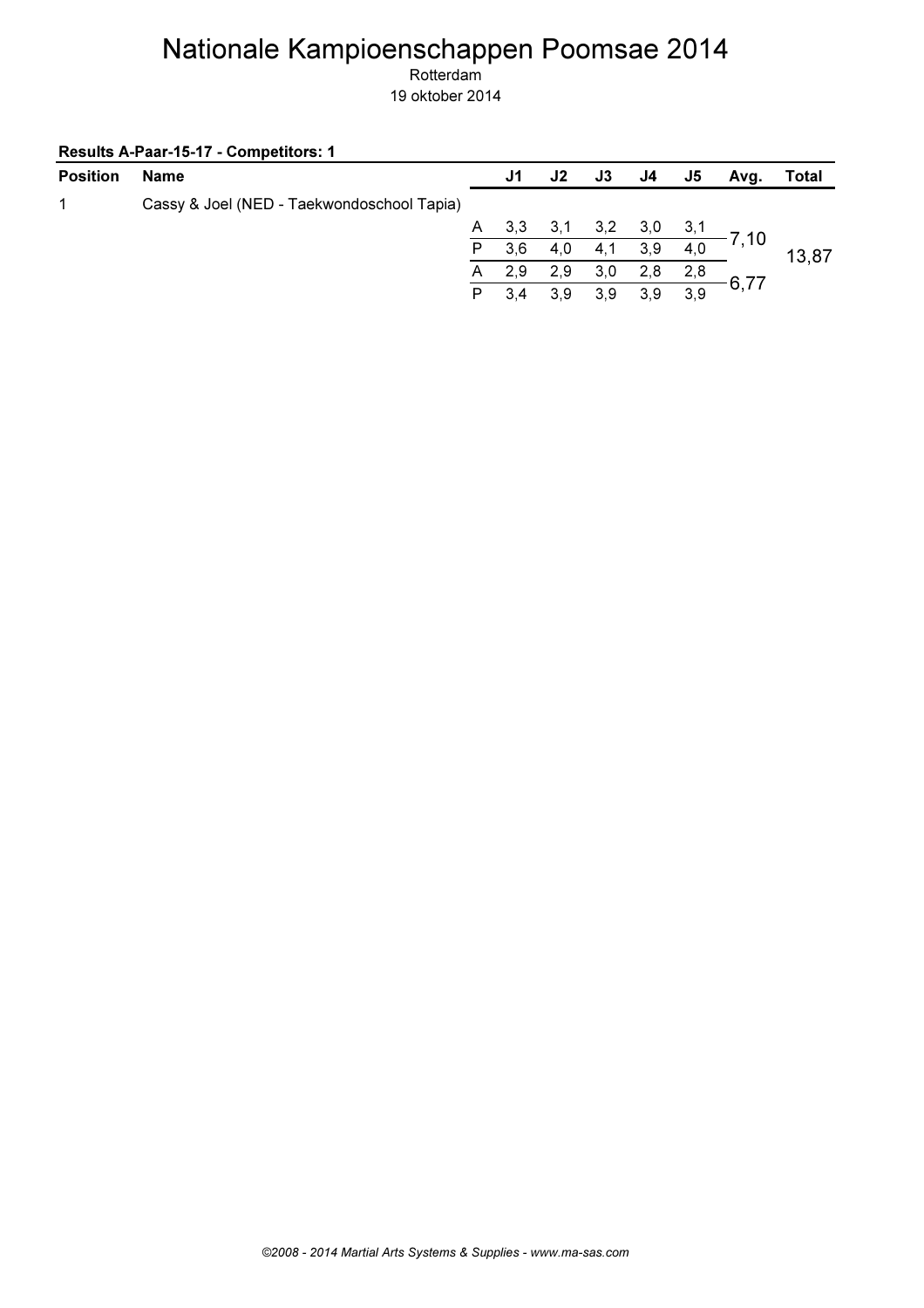Rotterdam 19 oktober 2014

Results A-Paar-15-17 - Competitors: 1

| <b>Position</b> | Name                                       |   | J1  | J2  | J3  | J4  | J5  | Avg.    | Total |
|-----------------|--------------------------------------------|---|-----|-----|-----|-----|-----|---------|-------|
| 1               | Cassy & Joel (NED - Taekwondoschool Tapia) |   |     |     |     |     |     |         |       |
|                 |                                            | A | 3,3 | 3,1 | 3,2 | 3,0 | 3,1 | $-7,10$ |       |
|                 |                                            | P | 3,6 | 4,0 | 4,1 | 3,9 | 4,0 |         | 13,87 |
|                 |                                            | A | 2,9 | 2,9 | 3,0 | 2,8 | 2,8 |         |       |
|                 |                                            | P | 3.4 | 3,9 | 3,9 | 3.9 | 3,9 | 6,77    |       |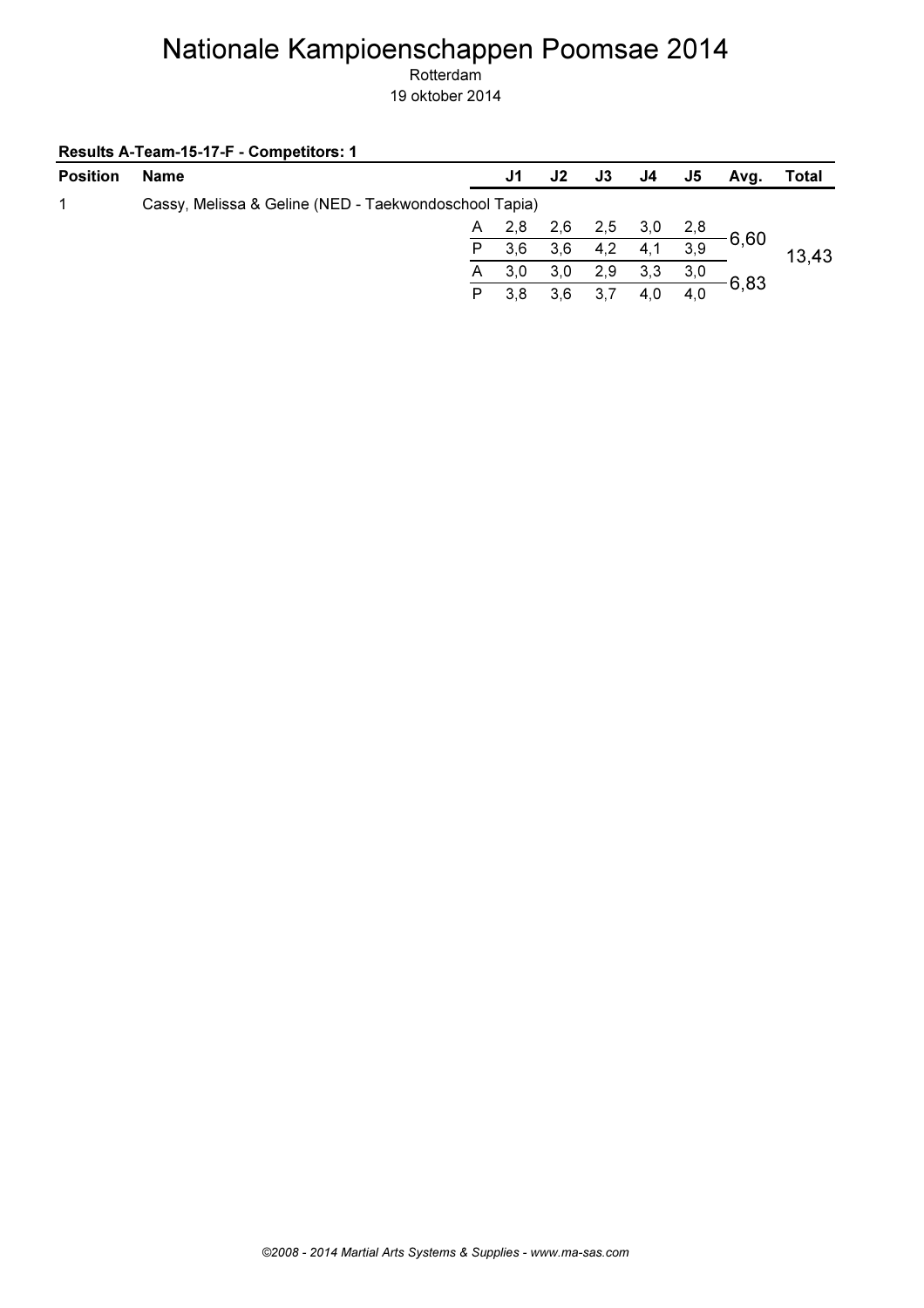Rotterdam 19 oktober 2014

Results A-Team-15-17-F - Competitors: 1

| <b>Position</b> | <b>Name</b>                                           |              | J1  | J2  | J3   | J4  | J5  | Avq. | Total |
|-----------------|-------------------------------------------------------|--------------|-----|-----|------|-----|-----|------|-------|
| 1               | Cassy, Melissa & Geline (NED - Taekwondoschool Tapia) |              |     |     |      |     |     |      |       |
|                 |                                                       | A            | 2,8 | 2.6 | 2,5  | 3,0 | 2,8 |      |       |
|                 |                                                       | P.           | 3.6 | 3,6 | 4,2  | 4,1 | 3,9 | 6,60 | 13,43 |
|                 |                                                       | $\mathsf{A}$ | 3,0 | 3,0 | 2,9  | 3,3 | 3,0 |      |       |
|                 |                                                       | P            | 3.8 | 3,6 | -3.7 | 4.0 | 4,0 | 6,83 |       |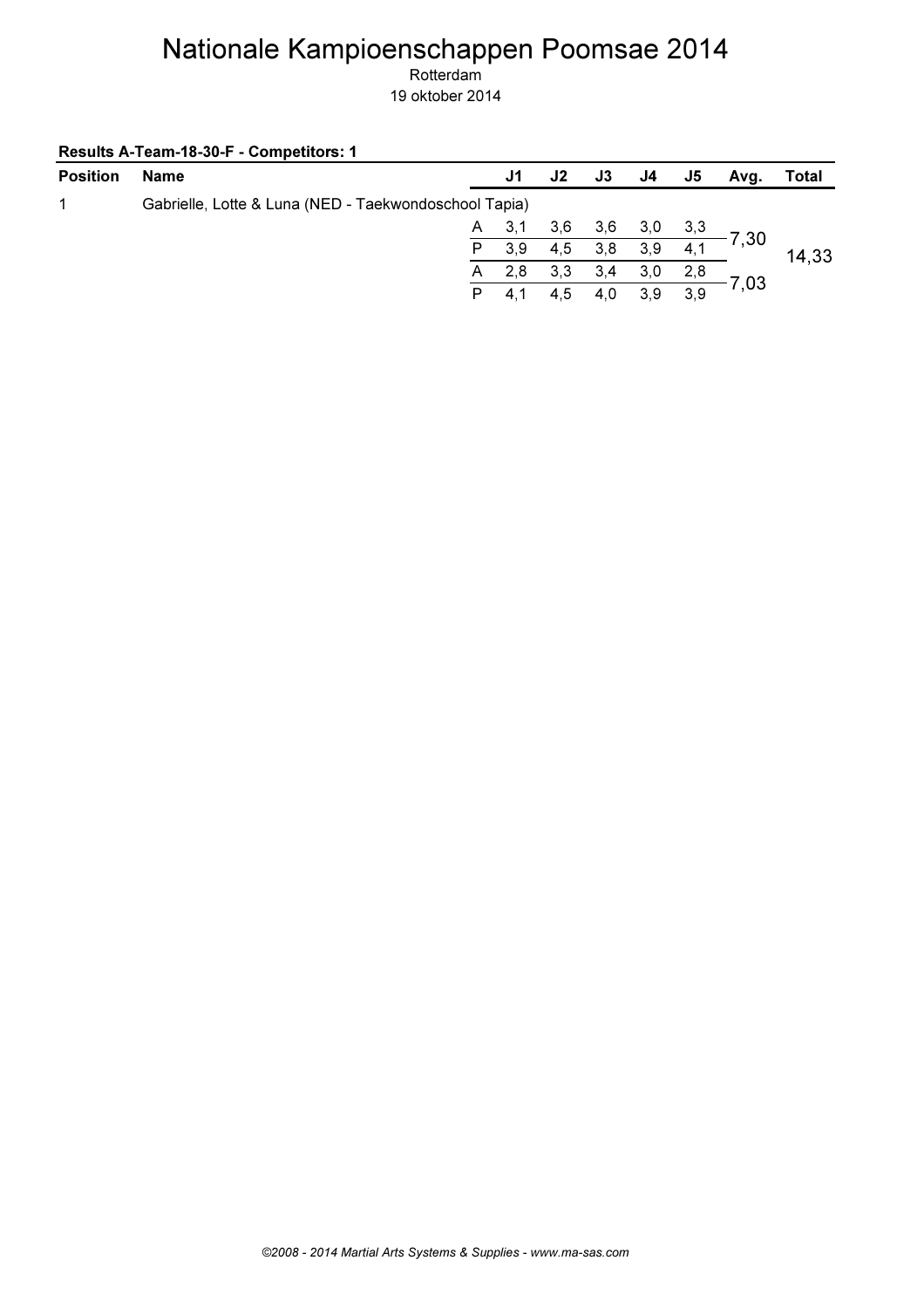Rotterdam 19 oktober 2014

Results A-Team-18-30-F - Competitors: 1

| <b>Position</b> | <b>Name</b>                                           |   | J1    | J <sub>2</sub> | J3  | J4.  | J5  | Avq.                 | Total |
|-----------------|-------------------------------------------------------|---|-------|----------------|-----|------|-----|----------------------|-------|
| 1               | Gabrielle, Lotte & Luna (NED - Taekwondoschool Tapia) |   |       |                |     |      |     |                      |       |
|                 |                                                       |   | A 3,1 | 3.6            | 3,6 | 3,0  |     | $\frac{3.3}{2}$ 7,30 |       |
|                 |                                                       | P | 3,9   | 4,5            | 3,8 | 3,9  | 4,1 |                      | 14,33 |
|                 |                                                       | A | 2,8   | 3,3            | 3,4 | 3,0  | 2,8 |                      |       |
|                 |                                                       | P | 4.1   | 4.5            | 4.0 | -3.9 | 3,9 | 7,03                 |       |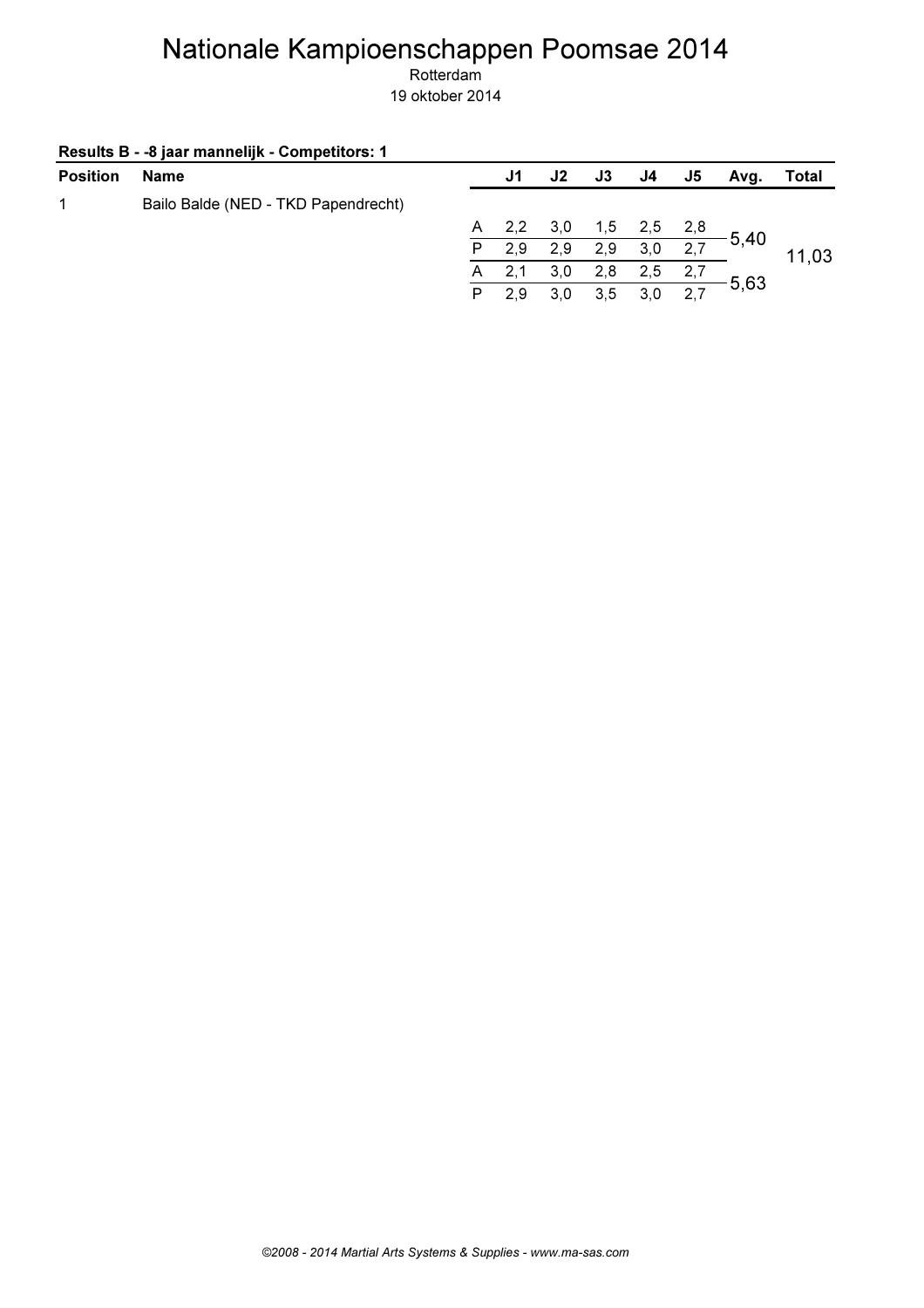| Results B - - 8 jaar mannelijk - Competitors: 1 |  |  |  |
|-------------------------------------------------|--|--|--|
|-------------------------------------------------|--|--|--|

| <b>Position</b> | <b>Name</b>                         |   | J1  | J2  | <b>J3</b> | J4. | J5  | Avg. | Total |
|-----------------|-------------------------------------|---|-----|-----|-----------|-----|-----|------|-------|
|                 | Bailo Balde (NED - TKD Papendrecht) |   |     |     |           |     |     |      |       |
|                 |                                     | A | 2,2 | 3,0 | 1,5       | 2,5 | 2,8 |      |       |
|                 |                                     | P | 2,9 | 2,9 | 2,9       | 3,0 | 2,7 | 5,40 | 11.03 |
|                 |                                     | A |     | 3,0 | 2,8       | 2,5 |     |      |       |
|                 |                                     | P | 2,9 | 3,0 | 3.5       | 3.0 | 2,7 | 5,63 |       |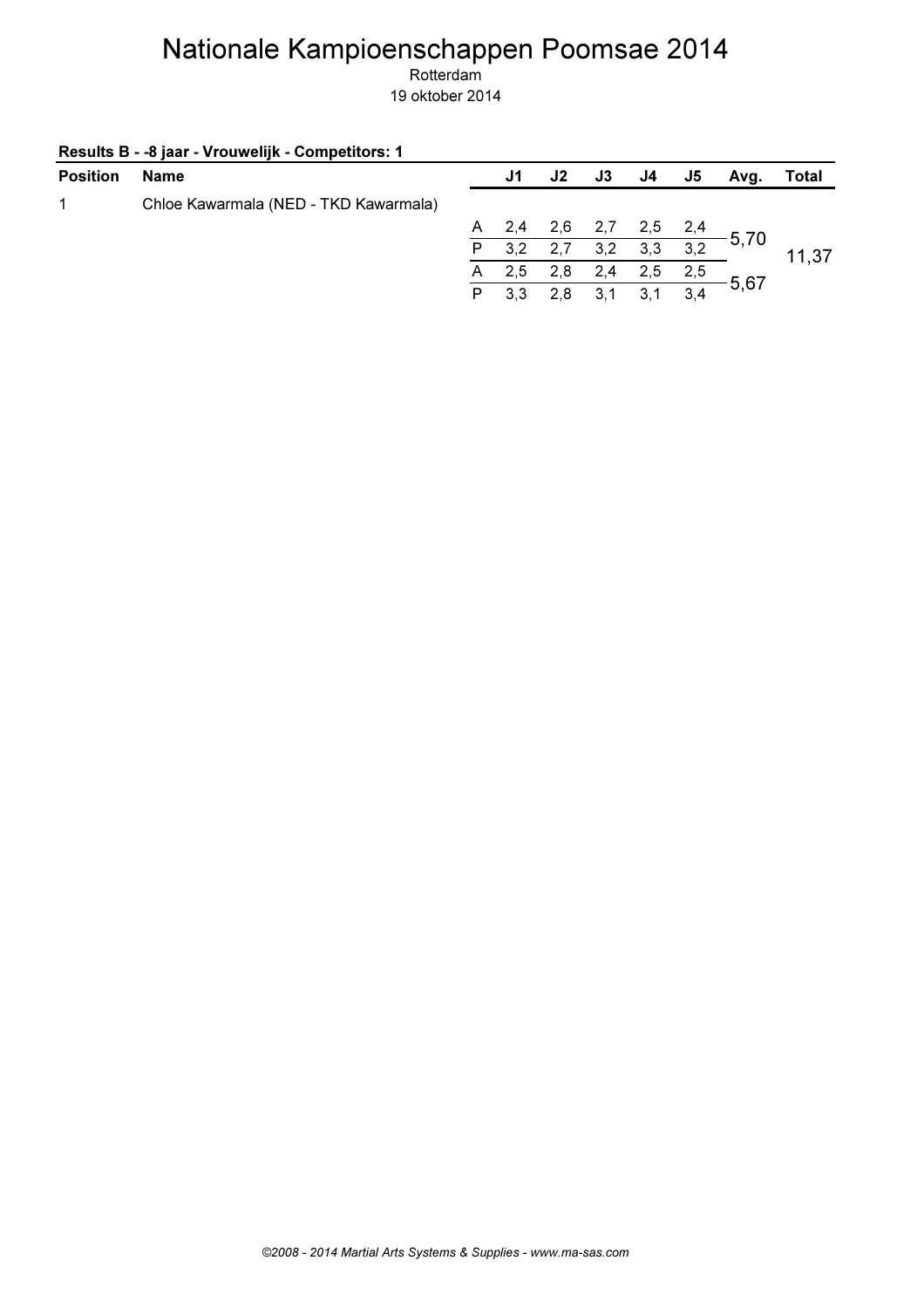| <b>Position</b> | Name                                  |    | J1  | J2          | J3     | J4  | J5  | Avg.                                   | Total |
|-----------------|---------------------------------------|----|-----|-------------|--------|-----|-----|----------------------------------------|-------|
| 1               | Chloe Kawarmala (NED - TKD Kawarmala) |    |     |             |        |     |     |                                        |       |
|                 |                                       | A, |     | 2,4 2,6 2,7 |        |     |     | $\frac{2,5}{2}$ $\frac{2,4}{2}$ - 5,70 |       |
|                 |                                       | P. | 3,2 | 2,7         | 3,2    | 3,3 | 3,2 |                                        | 11,37 |
|                 |                                       | A  | 2,5 | 2,8         | 2,4    | 2,5 | 2,5 |                                        |       |
|                 |                                       | P  | 3,3 | 2,8         | $-3,1$ | 3,1 | 3,4 | 5,67                                   |       |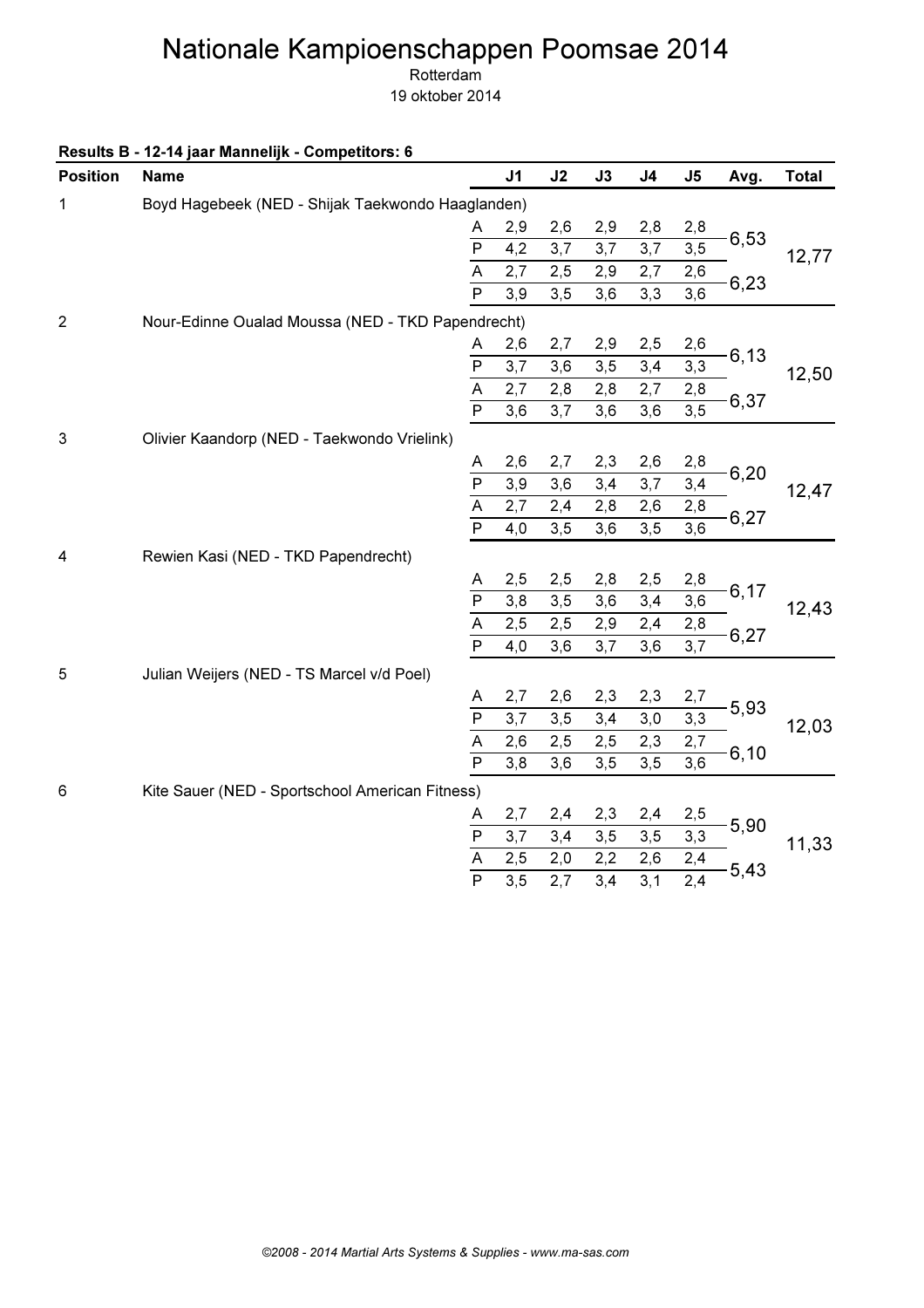Rotterdam

19 oktober 2014

Results B - 12-14 jaar Mannelijk - Competitors: 6

| <b>Position</b> | <b>Name</b>                                       |                         | J <sub>1</sub>   | J2              | J3  | J <sub>4</sub> | J <sub>5</sub>   | Avg.  | <b>Total</b> |
|-----------------|---------------------------------------------------|-------------------------|------------------|-----------------|-----|----------------|------------------|-------|--------------|
| 1               | Boyd Hagebeek (NED - Shijak Taekwondo Haaglanden) |                         |                  |                 |     |                |                  |       |              |
|                 |                                                   | A                       | 2,9              | 2,6             | 2,9 | 2,8            | 2,8              |       |              |
|                 |                                                   | ${\sf P}$               | 4,2              | 3,7             | 3,7 | 3,7            | 3, 5             | 6,53  | 12,77        |
|                 |                                                   | $\overline{A}$          | 2,7              | 2,5             | 2,9 | 2,7            | 2,6              |       |              |
|                 |                                                   | $\overline{P}$          | 3,9              | 3,5             | 3,6 | 3,3            | $\overline{3,6}$ | 6,23  |              |
| $\overline{2}$  | Nour-Edinne Oualad Moussa (NED - TKD Papendrecht) |                         |                  |                 |     |                |                  |       |              |
|                 |                                                   | A                       | 2,6              | 2,7             | 2,9 | 2,5            | 2,6              |       |              |
|                 |                                                   | $\mathsf{P}$            | 3,7              | 3,6             | 3,5 | 3,4            | 3,3              | 6,13  | 12,50        |
|                 |                                                   | $\overline{A}$          | 2,7              | 2,8             | 2,8 | 2,7            | 2,8              |       |              |
|                 |                                                   | $\overline{P}$          | 3,6              | 3,7             | 3,6 | 3,6            | 3,5              | 6,37  |              |
| 3               | Olivier Kaandorp (NED - Taekwondo Vrielink)       |                         |                  |                 |     |                |                  |       |              |
|                 |                                                   | Α                       | 2,6              | 2,7             | 2,3 | 2,6            | 2,8              | 6,20  |              |
|                 |                                                   | $\overline{P}$          | 3,9              | 3,6             | 3,4 | 3,7            | 3,4              |       | 12,47        |
|                 |                                                   | $\overline{A}$          | 2,7              | 2,4             | 2,8 | 2,6            | 2,8              | 6,27  |              |
|                 |                                                   | $\overline{P}$          | 4,0              | 3,5             | 3,6 | 3,5            | 3,6              |       |              |
| 4               | Rewien Kasi (NED - TKD Papendrecht)               |                         |                  |                 |     |                |                  |       |              |
|                 |                                                   | A                       | 2,5              | 2,5             | 2,8 | 2,5            | 2,8              |       |              |
|                 |                                                   | ${\sf P}$               | 3,8              | 3,5             | 3,6 | 3,4            | 3,6              | 6,17  | 12,43        |
|                 |                                                   | $\overline{\mathsf{A}}$ | 2,5              | 2,5             | 2,9 | 2,4            | 2,8              | 6,27  |              |
|                 |                                                   | $\overline{P}$          | 4,0              | 3,6             | 3,7 | 3,6            | 3,7              |       |              |
| 5               | Julian Weijers (NED - TS Marcel v/d Poel)         |                         |                  |                 |     |                |                  |       |              |
|                 |                                                   | A                       | 2,7              | 2,6             | 2,3 | 2,3            | 2,7              |       |              |
|                 |                                                   | $\mathsf{P}$            | 3,7              | 3,5             | 3,4 | 3,0            | 3,3              | 5,93  | 12,03        |
|                 |                                                   | $\overline{A}$          | 2,6              | 2,5             | 2,5 | 2,3            | 2,7              | 6, 10 |              |
|                 |                                                   | $\overline{P}$          | 3,8              | 3,6             | 3,5 | 3,5            | 3,6              |       |              |
| 6               | Kite Sauer (NED - Sportschool American Fitness)   |                         |                  |                 |     |                |                  |       |              |
|                 |                                                   | A                       | 2,7              | 2,4             | 2,3 | 2,4            | 2,5              | 5,90  |              |
|                 |                                                   | $\overline{P}$          | 3,7              | 3,4             | 3,5 | 3,5            | 3,3              |       | 11,33        |
|                 |                                                   | A                       | 2,5              | 2,0             | 2,2 | 2,6            | 2,4              | 5,43  |              |
|                 |                                                   | $\overline{P}$          | $\overline{3,5}$ | $\frac{1}{2,7}$ | 3,4 | 3,1            | $\overline{2,4}$ |       |              |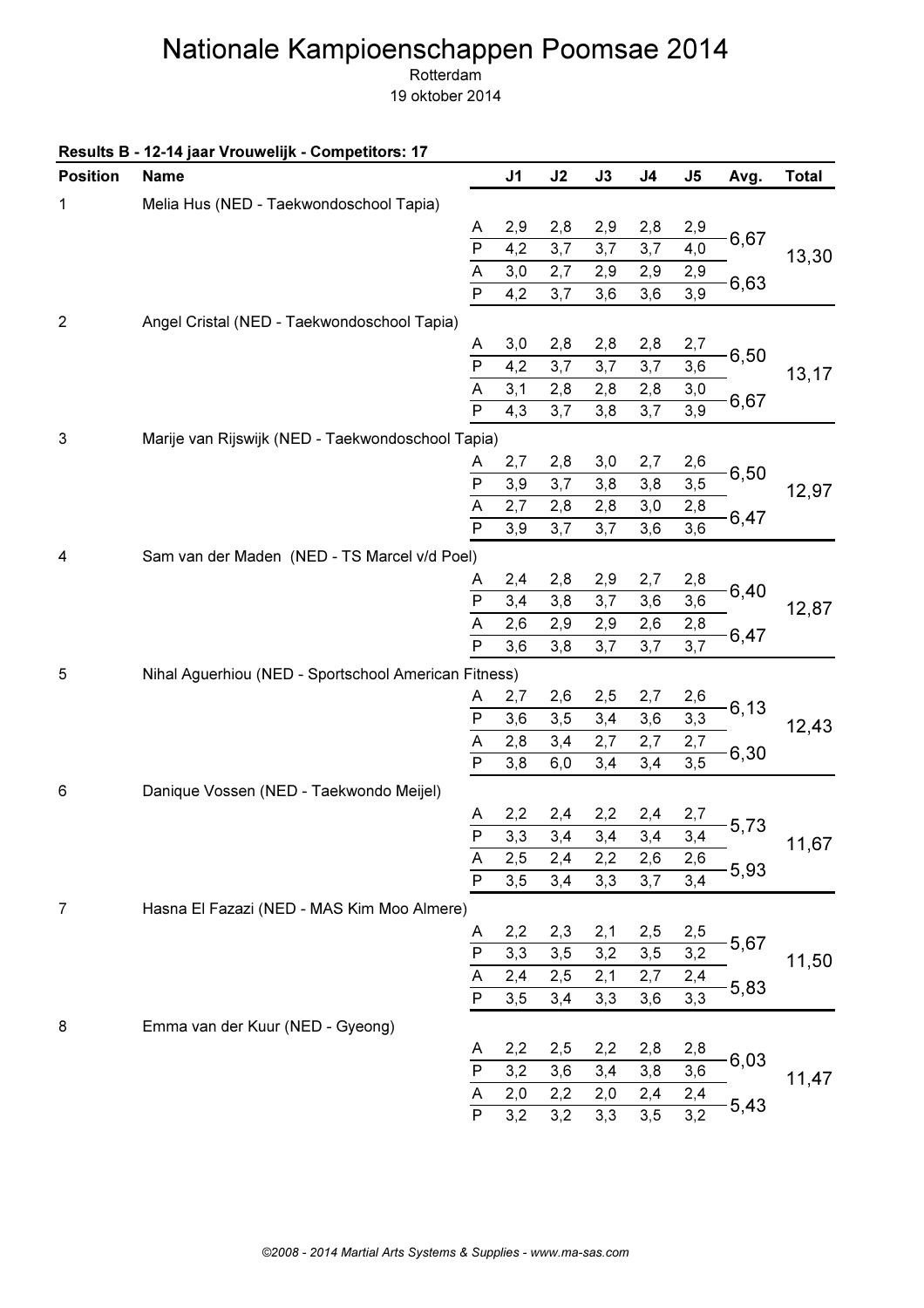Rotterdam

|  |  |  | Results B - 12-14 jaar Vrouwelijk - Competitors: 17 |  |  |  |
|--|--|--|-----------------------------------------------------|--|--|--|
|--|--|--|-----------------------------------------------------|--|--|--|

| <b>Position</b> | <b>Name</b>                                          |                         | J <sub>1</sub>   | J2  | J3  | J <sub>4</sub> | J5               | Avg. | <b>Total</b> |
|-----------------|------------------------------------------------------|-------------------------|------------------|-----|-----|----------------|------------------|------|--------------|
| 1               | Melia Hus (NED - Taekwondoschool Tapia)              |                         |                  |     |     |                |                  |      |              |
|                 |                                                      | A                       | 2,9              | 2,8 | 2,9 | 2,8            | 2,9              |      |              |
|                 |                                                      | $\overline{P}$          | 4,2              | 3,7 | 3,7 | 3,7            | 4,0              | 6,67 | 13,30        |
|                 |                                                      | $\overline{A}$          | $_{3,0}$         | 2,7 | 2,9 | 2,9            | 2,9              | 6,63 |              |
|                 |                                                      | $\overline{\mathsf{P}}$ | 4,2              | 3,7 | 3,6 | 3,6            | $\overline{3,9}$ |      |              |
| $\overline{2}$  | Angel Cristal (NED - Taekwondoschool Tapia)          |                         |                  |     |     |                |                  |      |              |
|                 |                                                      | A                       | 3,0              | 2,8 | 2,8 | 2,8            | 2,7              |      |              |
|                 |                                                      | $\overline{P}$          | 4,2              | 3,7 | 3,7 | 3,7            | 3,6              | 6,50 | 13,17        |
|                 |                                                      | A                       | 3,1              | 2,8 | 2,8 | 2,8            | 3,0              |      |              |
|                 |                                                      | $\mathsf{P}$            | 4,3              | 3,7 | 3,8 | 3,7            | 3,9              | 6,67 |              |
| 3               | Marije van Rijswijk (NED - Taekwondoschool Tapia)    |                         |                  |     |     |                |                  |      |              |
|                 |                                                      | A                       | 2,7              | 2,8 | 3,0 | 2,7            | 2,6              |      |              |
|                 |                                                      | P                       | 3,9              | 3,7 | 3,8 | 3,8            | $\overline{3,5}$ | 6,50 | 12,97        |
|                 |                                                      | $\overline{A}$          | 2,7              | 2,8 | 2,8 | 3,0            | 2,8              | 6,47 |              |
|                 |                                                      | $\overline{P}$          | 3,9              | 3,7 | 3,7 | 3,6            | 3,6              |      |              |
| 4               | Sam van der Maden (NED - TS Marcel v/d Poel)         |                         |                  |     |     |                |                  |      |              |
|                 |                                                      | A                       | 2,4              | 2,8 | 2,9 | 2,7            | 2,8              |      |              |
|                 |                                                      | $\overline{P}$          | 3,4              | 3,8 | 3,7 | 3,6            | 3,6              | 6,40 | 12,87        |
|                 |                                                      | $\overline{A}$          | 2,6              | 2,9 | 2,9 | 2,6            | 2,8              | 6,47 |              |
|                 |                                                      | $\overline{P}$          | 3,6              | 3,8 | 3,7 | 3,7            | $\overline{3,7}$ |      |              |
| 5               | Nihal Aguerhiou (NED - Sportschool American Fitness) |                         |                  |     |     |                |                  |      |              |
|                 |                                                      | A                       | 2,7              | 2,6 | 2,5 | 2,7            | 2,6              |      |              |
|                 |                                                      | $\mathsf{P}$            | 3,6              | 3,5 | 3,4 | 3,6            | 3,3              | 6,13 | 12,43        |
|                 |                                                      | $\overline{\mathsf{A}}$ | 2,8              | 3,4 | 2,7 | 2,7            | 2,7              |      |              |
|                 |                                                      | $\overline{\mathsf{P}}$ | 3,8              | 6,0 | 3,4 | 3,4            | $\overline{3,5}$ | 6,30 |              |
| 6               | Danique Vossen (NED - Taekwondo Meijel)              |                         |                  |     |     |                |                  |      |              |
|                 |                                                      | A                       | 2,2              | 2,4 | 2,2 | 2,4            | 2,7              |      |              |
|                 |                                                      | $\overline{P}$          | $\overline{3,3}$ | 3,4 | 3,4 | 3,4            | 3,4              | 5,73 | 11,67        |
|                 |                                                      |                         | 2,5              | 2,4 | 2,2 | 2,6            | 2,6              |      |              |
|                 |                                                      | $rac{A}{P}$             | 3, 5             | 3,4 | 3,3 | 3,7            | 3,4              | 5,93 |              |
| 7               | Hasna El Fazazi (NED - MAS Kim Moo Almere)           |                         |                  |     |     |                |                  |      |              |
|                 |                                                      | A                       | 2,2              | 2,3 | 2,1 | 2,5            | 2,5              |      |              |
|                 |                                                      | $\overline{P}$          | 3,3              | 3,5 | 3,2 | 3,5            | 3,2              | 5,67 | 11,50        |
|                 |                                                      | A                       | 2,4              | 2,5 | 2,1 | 2,7            | 2,4              |      |              |
|                 |                                                      | $\mathsf{P}$            | 3,5              | 3,4 | 3,3 | 3,6            | 3,3              | 5,83 |              |
| 8               | Emma van der Kuur (NED - Gyeong)                     |                         |                  |     |     |                |                  |      |              |
|                 |                                                      | A                       | 2,2              | 2,5 | 2,2 | 2,8            | 2,8              |      |              |
|                 |                                                      | P                       | 3,2              | 3,6 | 3,4 | 3,8            | 3,6              | 6,03 |              |
|                 |                                                      | A                       | 2,0              | 2,2 | 2,0 | 2,4            | 2,4              |      | 11,47        |
|                 |                                                      | $\overline{P}$          | 3,2              | 3,2 | 3,3 | 3,5            | 3,2              | 5,43 |              |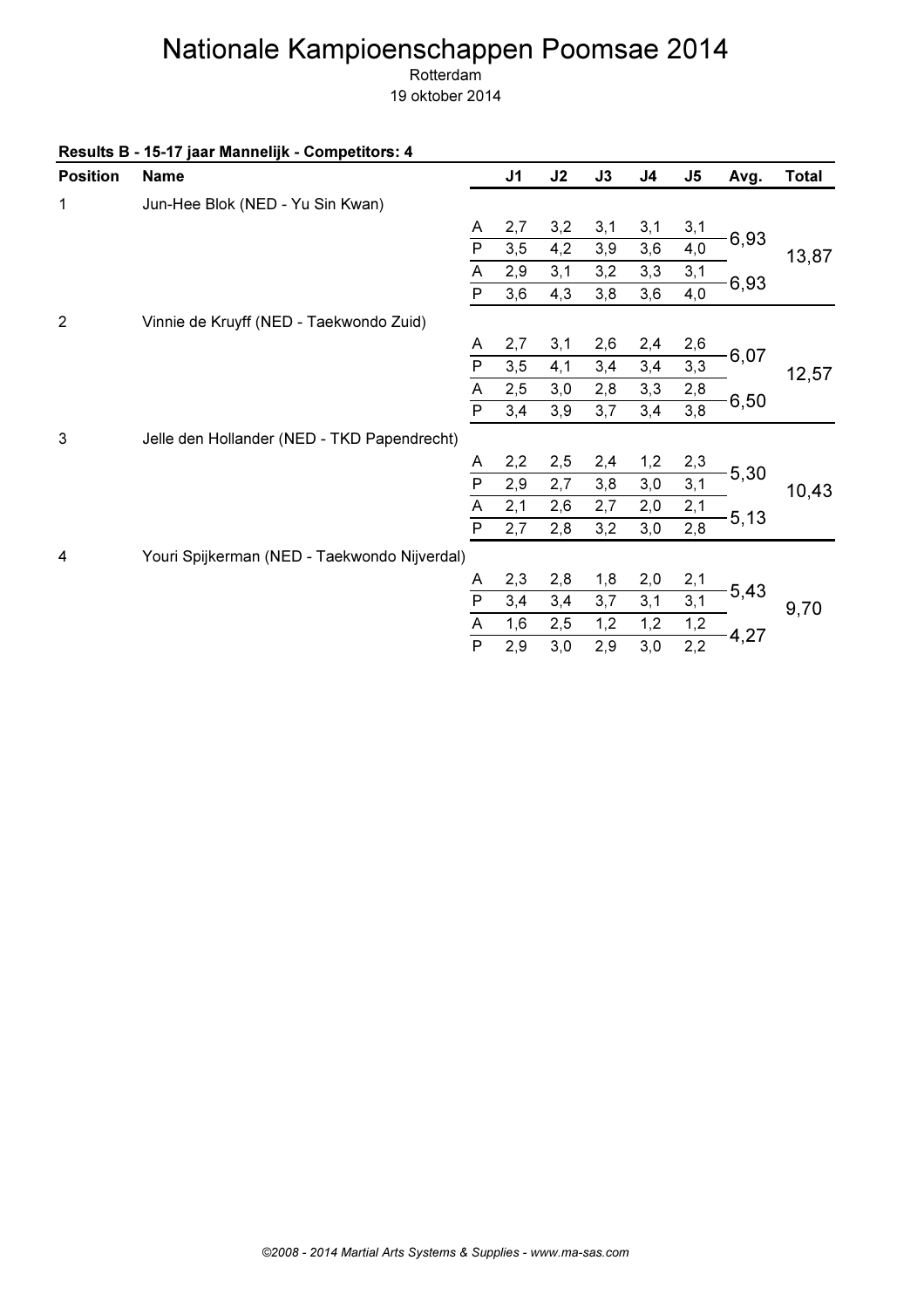Rotterdam

| <b>Position</b> | <b>Name</b>                                  |                           | J <sub>1</sub> | J2  | $\mathsf{J3}$ | J <sub>4</sub> | J <sub>5</sub> | Avg. | <b>Total</b> |
|-----------------|----------------------------------------------|---------------------------|----------------|-----|---------------|----------------|----------------|------|--------------|
| 1               | Jun-Hee Blok (NED - Yu Sin Kwan)             |                           |                |     |               |                |                |      |              |
|                 |                                              | A                         | 2,7            | 3,2 | 3,1           | 3,1            | 3,1            |      |              |
|                 |                                              | $\overline{P}$            | 3,5            | 4,2 | 3,9           | 3,6            | 4,0            | 6,93 | 13,87        |
|                 |                                              | A                         | 2,9            | 3,1 | 3,2           | 3,3            | 3,1            |      |              |
|                 |                                              | $\overline{P}$            | 3,6            | 4,3 | 3,8           | 3,6            | 4,0            | 6,93 |              |
| $\overline{2}$  | Vinnie de Kruyff (NED - Taekwondo Zuid)      |                           |                |     |               |                |                |      |              |
|                 |                                              | A                         | 2,7            | 3,1 | 2,6           | 2,4            | 2,6            |      |              |
|                 |                                              | $\overline{P}$            | 3,5            | 4,1 | 3,4           | 3,4            | 3,3            | 6,07 | 12,57        |
|                 |                                              | $\boldsymbol{\mathsf{A}}$ | 2,5            | 3,0 | 2,8           | 3,3            | 2,8            | 6,50 |              |
|                 |                                              | $\overline{P}$            | 3,4            | 3,9 | 3,7           | 3,4            | 3,8            |      |              |
| 3               | Jelle den Hollander (NED - TKD Papendrecht)  |                           |                |     |               |                |                |      |              |
|                 |                                              | A                         | 2,2            | 2,5 | 2,4           | 1,2            | 2,3            |      |              |
|                 |                                              | $\overline{P}$            | 2,9            | 2,7 | 3,8           | 3,0            | 3,1            | 5,30 | 10,43        |
|                 |                                              | $\mathsf A$               | 2,1            | 2,6 | 2,7           | 2,0            | 2,1            | 5,13 |              |
|                 |                                              | $\overline{\mathsf{P}}$   | 2,7            | 2,8 | 3,2           | 3,0            | 2,8            |      |              |
| 4               | Youri Spijkerman (NED - Taekwondo Nijverdal) |                           |                |     |               |                |                |      |              |
|                 |                                              | A                         | 2,3            | 2,8 | 1,8           | 2,0            | 2,1            |      |              |
|                 |                                              | $\overline{P}$            | 3,4            | 3,4 | 3,7           | 3,1            | 3,1            | 5,43 | 9,70         |
|                 |                                              | $\mathsf A$               | 1,6            | 2,5 | 1,2           | 1,2            | 1,2            |      |              |
|                 |                                              | $\overline{\mathsf{P}}$   | 2,9            | 3,0 | 2,9           | 3,0            | 2,2            | 4,27 |              |
|                 |                                              |                           |                |     |               |                |                |      |              |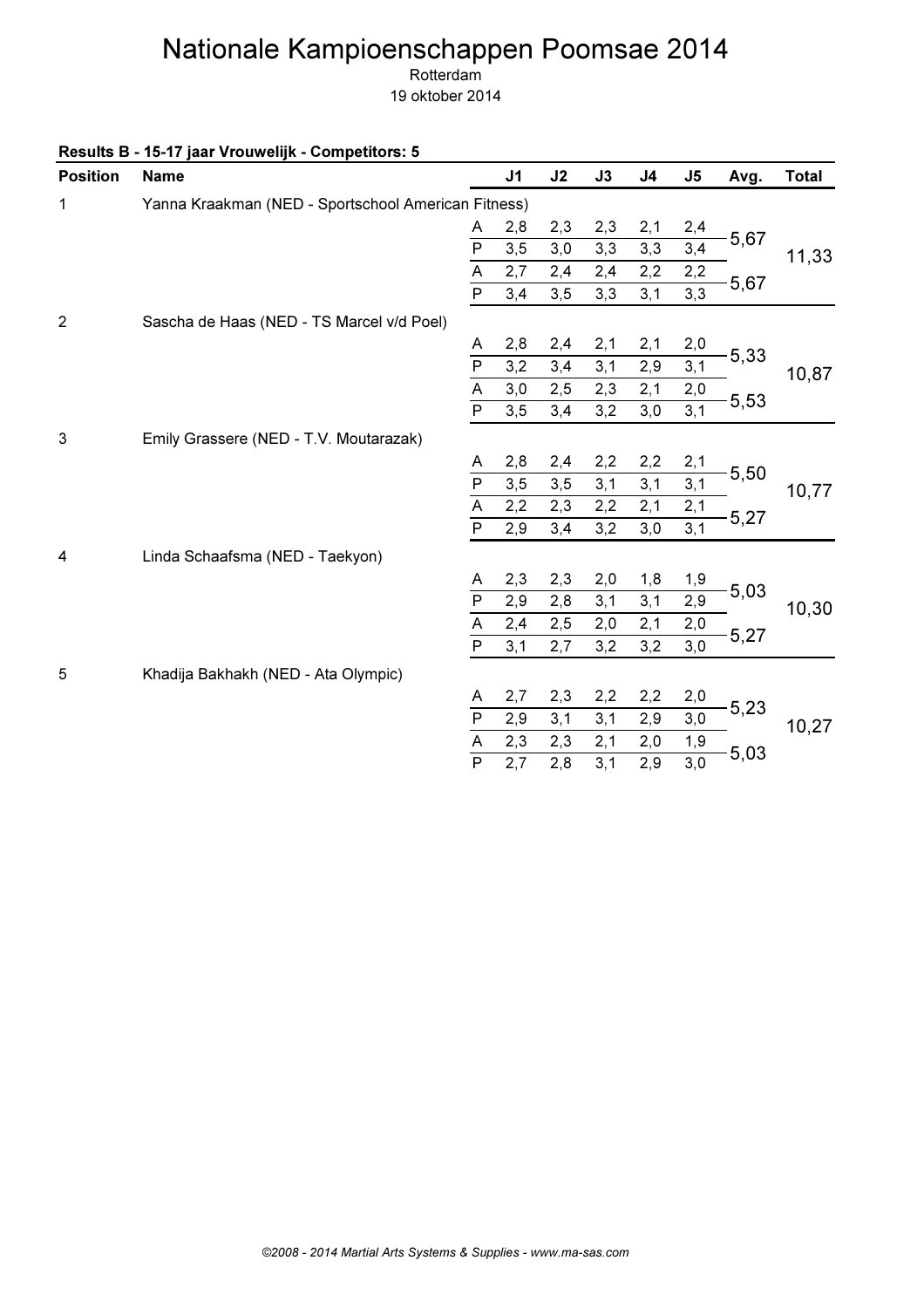Rotterdam

19 oktober 2014

Results B - 15-17 jaar Vrouwelijk - Competitors: 5

| <b>Position</b> | <b>Name</b>                                         |                                     | J <sub>1</sub> | J2  | J3  | J <sub>4</sub> | J <sub>5</sub> | Avg. | <b>Total</b> |
|-----------------|-----------------------------------------------------|-------------------------------------|----------------|-----|-----|----------------|----------------|------|--------------|
| 1               | Yanna Kraakman (NED - Sportschool American Fitness) |                                     |                |     |     |                |                |      |              |
|                 |                                                     | A                                   | 2,8            | 2,3 | 2,3 | 2,1            | 2,4            |      |              |
|                 |                                                     | $\overline{P}$                      | 3,5            | 3,0 | 3,3 | 3,3            | 3,4            | 5,67 | 11,33        |
|                 |                                                     | $\overline{A}$                      | 2,7            | 2,4 | 2,4 | 2,2            | 2,2            |      |              |
|                 |                                                     | $\mathsf{P}$                        | 3,4            | 3,5 | 3,3 | 3,1            | 3,3            | 5,67 |              |
| $\overline{2}$  | Sascha de Haas (NED - TS Marcel v/d Poel)           |                                     |                |     |     |                |                |      |              |
|                 |                                                     | Α                                   | 2,8            | 2,4 | 2,1 | 2,1            | 2,0            |      |              |
|                 |                                                     | $\mathsf{P}$                        | 3,2            | 3,4 | 3,1 | 2,9            | 3,1            | 5,33 | 10,87        |
|                 |                                                     | $\overline{\mathsf{A}}$             | 3,0            | 2,5 | 2,3 | 2,1            | 2,0            |      |              |
|                 |                                                     | $\overline{P}$                      | 3,5            | 3,4 | 3,2 | 3,0            | 3,1            | 5,53 |              |
| $\sqrt{3}$      | Emily Grassere (NED - T.V. Moutarazak)              |                                     |                |     |     |                |                |      |              |
|                 |                                                     | A                                   | 2,8            | 2,4 | 2,2 | 2,2            | 2,1            |      |              |
|                 |                                                     | $\overline{P}$                      | 3,5            | 3,5 | 3,1 | 3,1            | 3,1            | 5,50 | 10,77        |
|                 |                                                     | A                                   | 2,2            | 2,3 | 2,2 | 2,1            | 2,1            | 5,27 |              |
|                 |                                                     | $\overline{\mathsf{P}}$             | 2,9            | 3,4 | 3,2 | 3,0            | 3,1            |      |              |
| 4               | Linda Schaafsma (NED - Taekyon)                     |                                     |                |     |     |                |                |      |              |
|                 |                                                     | Α                                   | 2,3            | 2,3 | 2,0 | 1,8            | 1,9            |      |              |
|                 |                                                     | $\overline{P}$                      | 2,9            | 2,8 | 3,1 | 3,1            | 2,9            | 5,03 | 10,30        |
|                 |                                                     | $\overline{A}$                      | 2,4            | 2,5 | 2,0 | 2,1            | 2,0            |      |              |
|                 |                                                     | $\overline{P}$                      | 3,1            | 2,7 | 3,2 | 3,2            | 3,0            | 5,27 |              |
| 5               | Khadija Bakhakh (NED - Ata Olympic)                 |                                     |                |     |     |                |                |      |              |
|                 |                                                     | A                                   | 2,7            | 2,3 | 2,2 | 2,2            | 2,0            |      |              |
|                 |                                                     | $\mathsf{P}$                        | 2,9            | 3,1 | 3,1 | 2,9            | 3,0            | 5,23 | 10,27        |
|                 |                                                     | $\frac{\overline{A}}{\overline{P}}$ | 2,3            | 2,3 | 2,1 | 2,0            | 1,9            |      |              |
|                 |                                                     |                                     | 2,7            | 2,8 | 3,1 | 2,9            | 3,0            | 5,03 |              |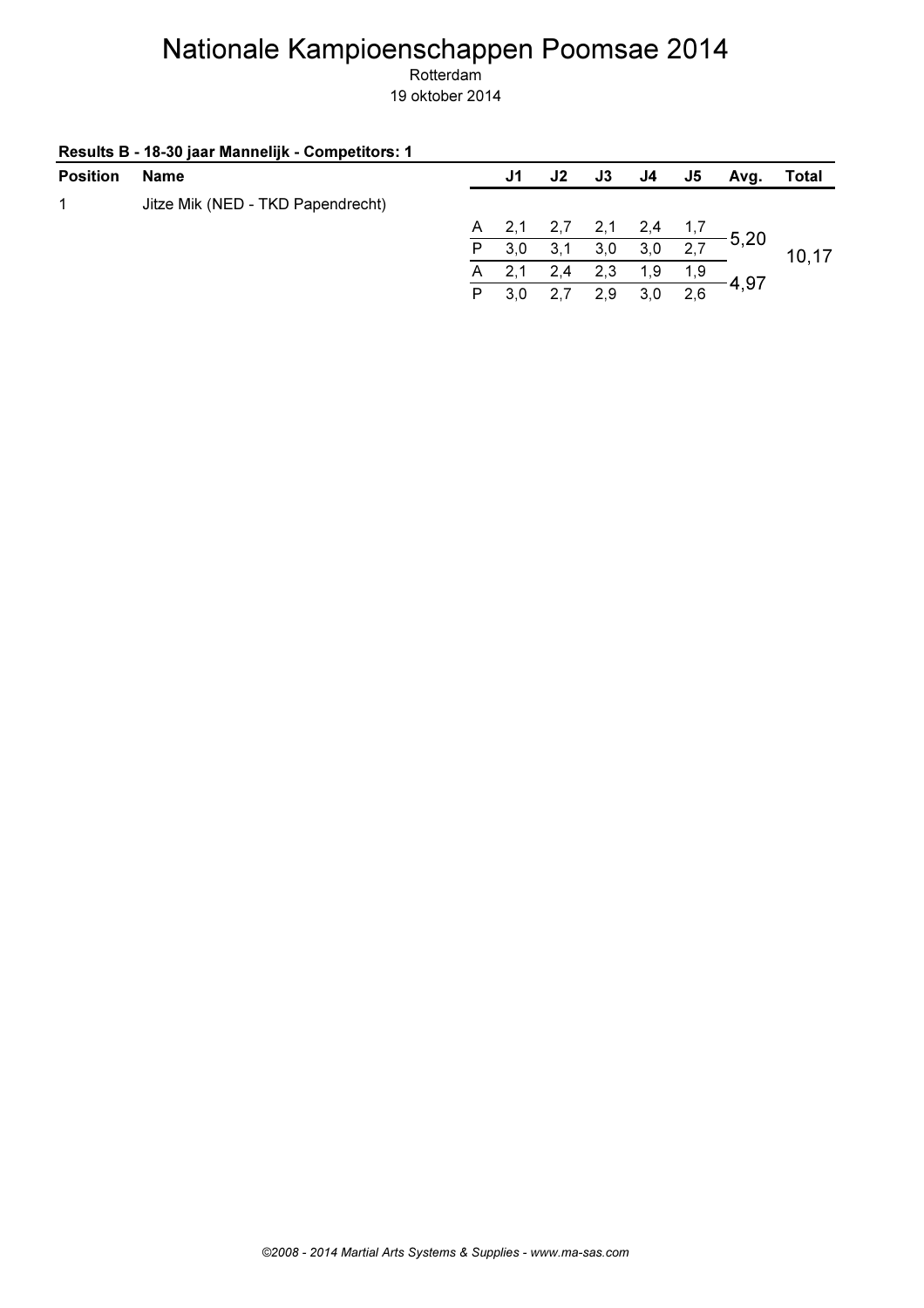| Name                              |              | J1  | J2    | <b>J3</b> | J4  | J5   | Avg. | Total        |
|-----------------------------------|--------------|-----|-------|-----------|-----|------|------|--------------|
| Jitze Mik (NED - TKD Papendrecht) |              |     |       |           |     |      |      |              |
|                                   |              |     | 2,7   | 2,1       | 2,4 | 1, 1 |      |              |
|                                   | P            | 3,0 | 3,1   | 3,0       | 3,0 | 2,7  |      | 10,17        |
|                                   | $\mathsf{A}$ |     | 2,4   | 2,3       | 1.9 | 1,9  |      |              |
|                                   | P            | 3.0 | 2,7   | 2.9       | 3.0 | 2,6  |      |              |
|                                   |              |     | A 2,1 |           |     |      |      | 5,20<br>4,97 |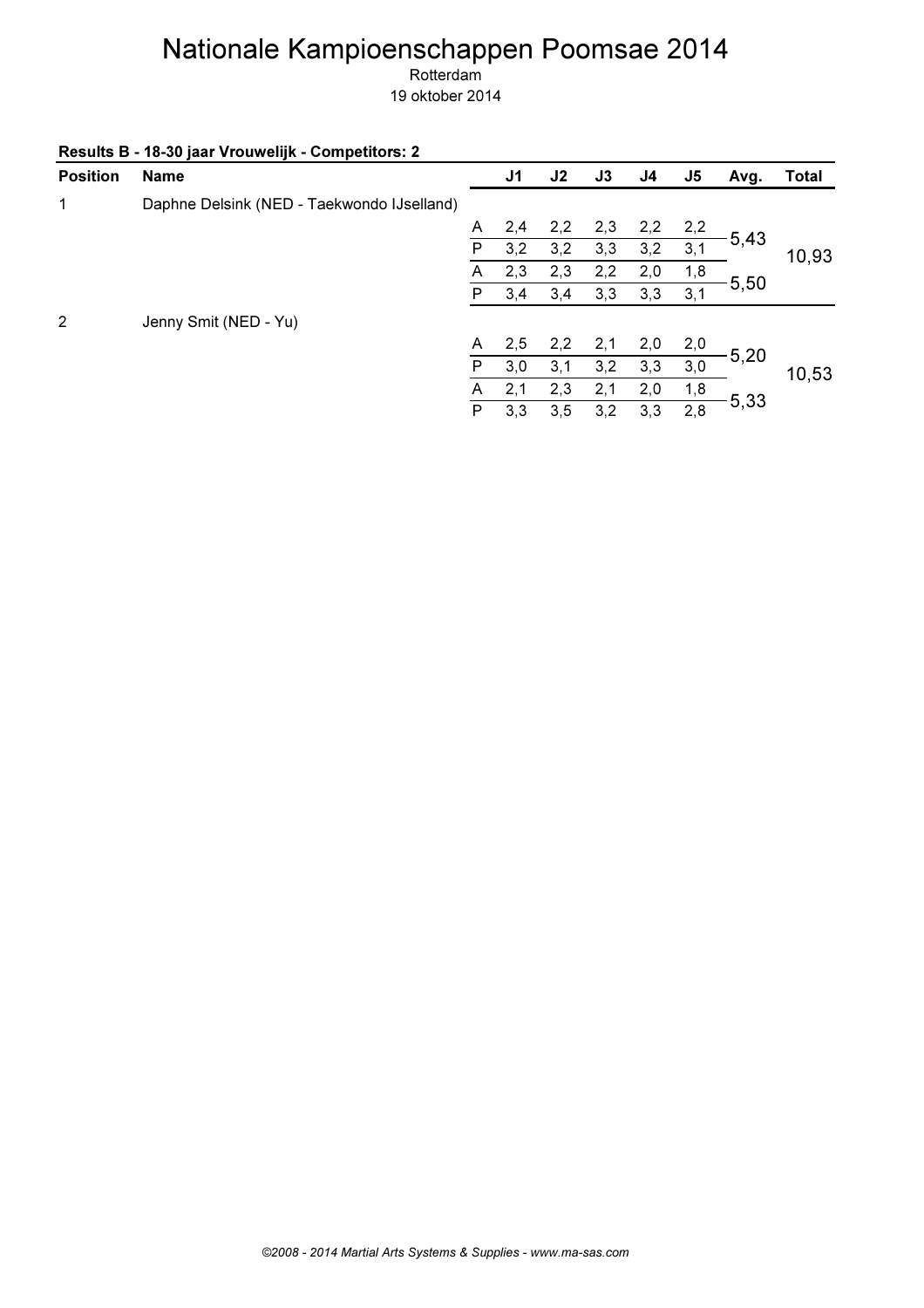| Results B - 18-30 jaar Vrouwelijk - Competitors: 2 |  |  |
|----------------------------------------------------|--|--|
|----------------------------------------------------|--|--|

| <b>Position</b> | <b>Name</b>                                |   | J <sub>1</sub> | J <sub>2</sub> | J3  | J4  | J <sub>5</sub> | Avg.    | <b>Total</b> |
|-----------------|--------------------------------------------|---|----------------|----------------|-----|-----|----------------|---------|--------------|
| 1               | Daphne Delsink (NED - Taekwondo IJselland) |   |                |                |     |     |                |         |              |
|                 |                                            | A | 2,4            | 2,2            | 2,3 | 2,2 | 2,2            |         |              |
|                 |                                            | P | 3,2            | 3,2            | 3,3 | 3,2 | 3,1            | $-5,43$ | 10,93        |
|                 |                                            | A | 2,3            | 2,3            | 2,2 | 2,0 | 1,8            |         |              |
|                 |                                            | P | 3,4            | 3,4            | 3,3 | 3,3 | 3,1            | 5,50    |              |
| 2               | Jenny Smit (NED - Yu)                      |   |                |                |     |     |                |         |              |
|                 |                                            | A | 2,5            | 2,2            | 2,1 | 2,0 | 2,0            |         |              |
|                 |                                            | P | 3,0            | 3,1            | 3,2 | 3,3 | 3,0            | $-5,20$ | 10,53        |
|                 |                                            | A | 2,1            | 2,3            | 2,1 | 2,0 | 1,8            |         |              |
|                 |                                            | P | 3,3            | 3,5            | 3,2 | 3,3 | 2,8            | 5,33    |              |
|                 |                                            |   |                |                |     |     |                |         |              |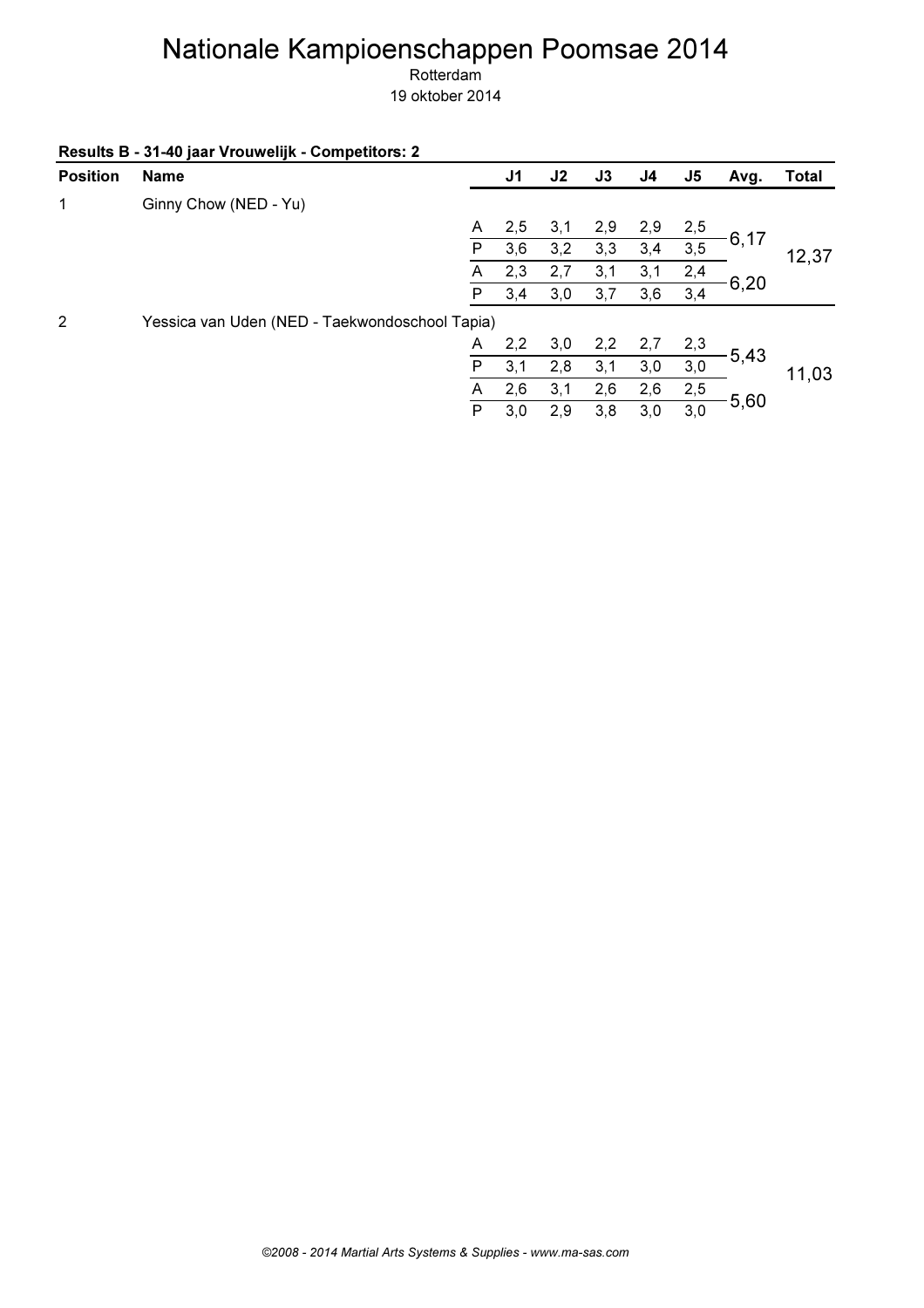Rotterdam

|                 | Results B - 31-40 jaar Vrouwelijk - Competitors: 2 |   |                |     |     |     |                |         |              |
|-----------------|----------------------------------------------------|---|----------------|-----|-----|-----|----------------|---------|--------------|
| <b>Position</b> | <b>Name</b>                                        |   | J <sub>1</sub> | J2  | J3  | J4  | J <sub>5</sub> | Avg.    | <b>Total</b> |
| 1               | Ginny Chow (NED - Yu)                              |   |                |     |     |     |                |         |              |
|                 |                                                    | A | 2,5            | 3,1 | 2,9 | 2,9 | 2,5            |         |              |
|                 |                                                    | P | 3,6            | 3,2 | 3,3 | 3,4 | 3,5            | 6,17    | 12,37        |
|                 |                                                    | A | 2,3            | 2,7 | 3,1 | 3,1 | 2,4            |         |              |
|                 |                                                    | P | 3,4            | 3,0 | 3,7 | 3,6 | 3,4            | 6,20    |              |
| $\overline{2}$  | Yessica van Uden (NED - Taekwondoschool Tapia)     |   |                |     |     |     |                |         |              |
|                 |                                                    | A | 2,2            | 3,0 | 2,2 | 2,7 | 2,3            |         |              |
|                 |                                                    | P | 3,1            | 2,8 | 3,1 | 3,0 | 3,0            | 5,43    | 11,03        |
|                 |                                                    | A | 2,6            | 3,1 | 2,6 | 2,6 | 2,5            | $-5,60$ |              |
|                 |                                                    | P | 3,0            | 2,9 | 3,8 | 3,0 | 3,0            |         |              |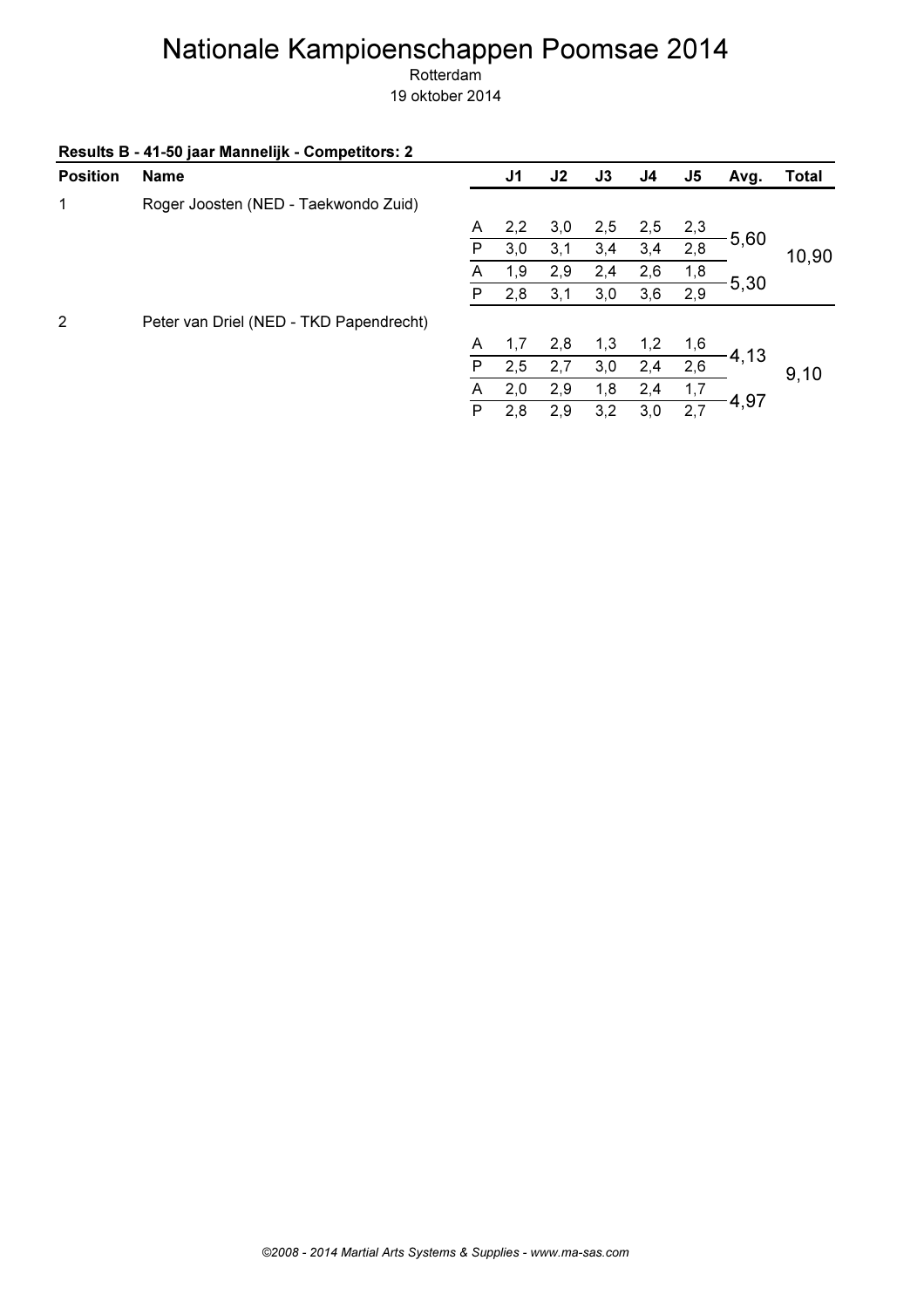Rotterdam

| Results B - 41-50 jaar Mannelijk - Competitors: 2 |  |  |
|---------------------------------------------------|--|--|
|---------------------------------------------------|--|--|

| <b>Position</b> | <b>Name</b>                             |   | J1  | J <sub>2</sub> | J3  | J4  | J <sub>5</sub> | Avg. | <b>Total</b> |
|-----------------|-----------------------------------------|---|-----|----------------|-----|-----|----------------|------|--------------|
| 1               | Roger Joosten (NED - Taekwondo Zuid)    |   |     |                |     |     |                |      |              |
|                 |                                         | A | 2,2 | 3,0            | 2,5 | 2,5 | 2,3            |      |              |
|                 |                                         | P | 3,0 | 3,1            | 3,4 | 3,4 | 2,8            | 5,60 | 10,90        |
|                 |                                         | A | 1,9 | 2,9            | 2,4 | 2,6 | 1,8            |      |              |
|                 |                                         | P | 2,8 | 3,1            | 3,0 | 3,6 | 2,9            | 5,30 |              |
| 2               | Peter van Driel (NED - TKD Papendrecht) |   |     |                |     |     |                |      |              |
|                 |                                         | A | 1,7 | 2,8            | 1,3 | 1,2 | 1,6            |      |              |
|                 |                                         | P | 2,5 | 2,7            | 3,0 | 2,4 | 2,6            | 4,13 | 9,10         |
|                 |                                         | A | 2,0 | 2,9            | 1,8 | 2,4 | 1,7            |      |              |
|                 |                                         | P | 2,8 | 2,9            | 3,2 | 3,0 | 2,7            | 4,97 |              |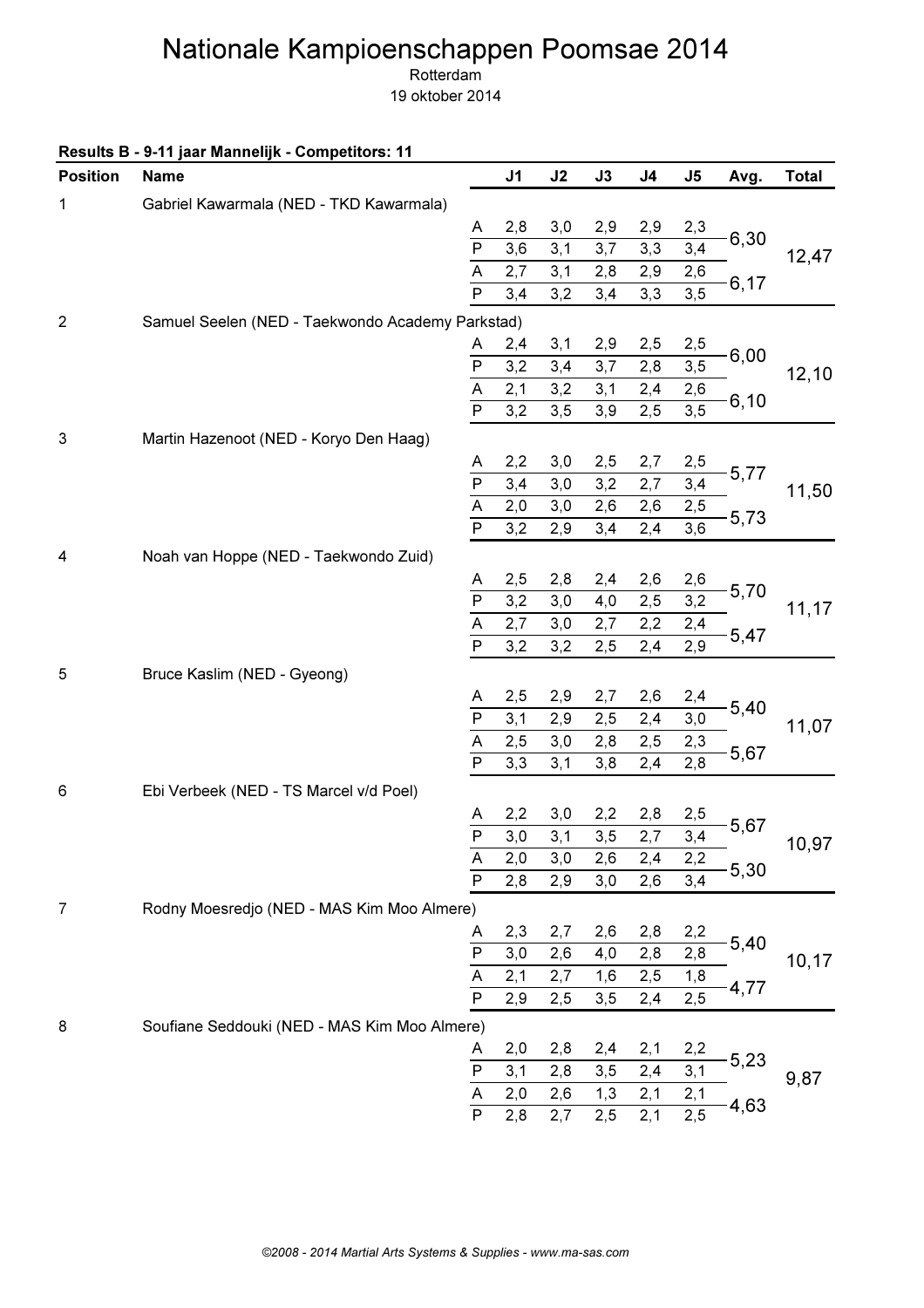Rotterdam

|  |  | Results B - 9-11 jaar Mannelijk - Competitors: 11 |
|--|--|---------------------------------------------------|
|--|--|---------------------------------------------------|

| <b>Position</b> | <b>Name</b>                                      |                         | J <sub>1</sub> | J2  | J3  | J <sub>4</sub> | J5                | Avg.    | <b>Total</b> |
|-----------------|--------------------------------------------------|-------------------------|----------------|-----|-----|----------------|-------------------|---------|--------------|
| 1               | Gabriel Kawarmala (NED - TKD Kawarmala)          |                         |                |     |     |                |                   |         |              |
|                 |                                                  | A                       | 2,8            | 3,0 | 2,9 | 2,9            | 2,3               |         |              |
|                 |                                                  | $\overline{P}$          | 3,6            | 3,1 | 3,7 | 3,3            | 3,4               | 6,30    | 12,47        |
|                 |                                                  | $\overline{A}$          | 2,7            | 3,1 | 2,8 | 2,9            | 2,6               | 6,17    |              |
|                 |                                                  | $\overline{\mathsf{P}}$ | 3,4            | 3,2 | 3,4 | 3,3            | $\overline{3,5}$  |         |              |
| $\overline{2}$  | Samuel Seelen (NED - Taekwondo Academy Parkstad) |                         |                |     |     |                |                   |         |              |
|                 |                                                  | A                       | 2,4            | 3,1 | 2,9 | 2,5            | 2,5               |         |              |
|                 |                                                  | $\mathsf{P}$            | 3,2            | 3,4 | 3,7 | 2,8            | 3, 5              | 6,00    | 12, 10       |
|                 |                                                  | $\overline{A}$          | 2,1            | 3,2 | 3,1 | 2,4            | 2,6               | 6,10    |              |
|                 |                                                  | $\overline{\mathsf{P}}$ | 3,2            | 3,5 | 3,9 | 2,5            | $\overline{3,5}$  |         |              |
| $\sqrt{3}$      | Martin Hazenoot (NED - Koryo Den Haag)           |                         |                |     |     |                |                   |         |              |
|                 |                                                  | A                       | 2,2            | 3,0 | 2,5 | 2,7            | 2,5               |         |              |
|                 |                                                  | $\overline{P}$          | 3,4            | 3,0 | 3,2 | 2,7            | $\frac{1}{3,4}$   | 5,77    | 11,50        |
|                 |                                                  | $\overline{A}$          | 2,0            | 3,0 | 2,6 | 2,6            | 2,5               |         |              |
|                 |                                                  | $\overline{P}$          | 3,2            | 2,9 | 3,4 | 2,4            | $\overline{3,6}$  | $-5,73$ |              |
| 4               | Noah van Hoppe (NED - Taekwondo Zuid)            |                         |                |     |     |                |                   |         |              |
|                 |                                                  | A                       | 2,5            | 2,8 | 2,4 | 2,6            | 2,6               |         |              |
|                 |                                                  |                         | 3,2            | 3,0 | 4,0 | 2,5            | 3,2               | 5,70    | 11,17        |
|                 |                                                  | $\frac{P}{A}$           | 2,7            | 3,0 | 2,7 | 2,2            | 2,4               |         |              |
|                 |                                                  | $\overline{P}$          | 3,2            | 3,2 | 2,5 | 2,4            | $\overline{2,9}$  | 5,47    |              |
| 5               | Bruce Kaslim (NED - Gyeong)                      |                         |                |     |     |                |                   |         |              |
|                 |                                                  | A                       | 2,5            | 2,9 | 2,7 | 2,6            | 2,4               |         |              |
|                 |                                                  | $\mathsf{P}$            | 3,1            | 2,9 | 2,5 | 2,4            | 3,0               | 5,40    | 11,07        |
|                 |                                                  | $\overline{\mathsf{A}}$ | 2,5            | 3,0 | 2,8 | 2,5            | 2,3               |         |              |
|                 |                                                  | $\overline{\mathsf{P}}$ | 3,3            | 3,1 | 3,8 | 2,4            | 2,8               | 5,67    |              |
| 6               | Ebi Verbeek (NED - TS Marcel v/d Poel)           |                         |                |     |     |                |                   |         |              |
|                 |                                                  | A                       | 2,2            | 3,0 | 2,2 | 2,8            | 2,5               |         |              |
|                 |                                                  | $\overline{P}$          | 3,0            | 3,1 | 3,5 | 2,7            | $\overline{3,4}$  | 5,67    | 10,97        |
|                 |                                                  | A                       | 2,0            | 3,0 | 2,6 | 2,4            | 2,2               |         |              |
|                 |                                                  | $\overline{\mathsf{P}}$ | 2,8            | 2,9 | 3,0 | 2,6            | 3,4               | 5,30    |              |
| 7               | Rodny Moesredjo (NED - MAS Kim Moo Almere)       |                         |                |     |     |                |                   |         |              |
|                 |                                                  | A                       | 2,3            | 2,7 | 2,6 | 2,8            | 2,2               |         |              |
|                 |                                                  | $\overline{P}$          | 3,0            | 2,6 | 4,0 | 2,8            | 2,8               | 5,40    |              |
|                 |                                                  | $\overline{A}$          | 2,1            | 2,7 | 1,6 | 2,5            | 1,8               |         | 10, 17       |
|                 |                                                  | $\overline{\mathsf{P}}$ | 2,9            | 2,5 | 3,5 | 2,4            | $\overline{2,5}$  | 4,77    |              |
| 8               | Soufiane Seddouki (NED - MAS Kim Moo Almere)     |                         |                |     |     |                |                   |         |              |
|                 |                                                  | A                       | 2,0            | 2,8 | 2,4 | 2,1            | 2,2               |         |              |
|                 |                                                  | $\mathsf{P}$            | 3,1            | 2,8 | 3,5 | 2,4            | 3,1               | 5,23    | 9,87         |
|                 |                                                  | $\overline{A}$          | 2,0            | 2,6 | 1,3 | 2,1            |                   |         |              |
|                 |                                                  | $\overline{P}$          | 2,8            | 2,7 | 2,5 | 2,1            | $\frac{2,1}{2,5}$ | $-4,63$ |              |
|                 |                                                  |                         |                |     |     |                |                   |         |              |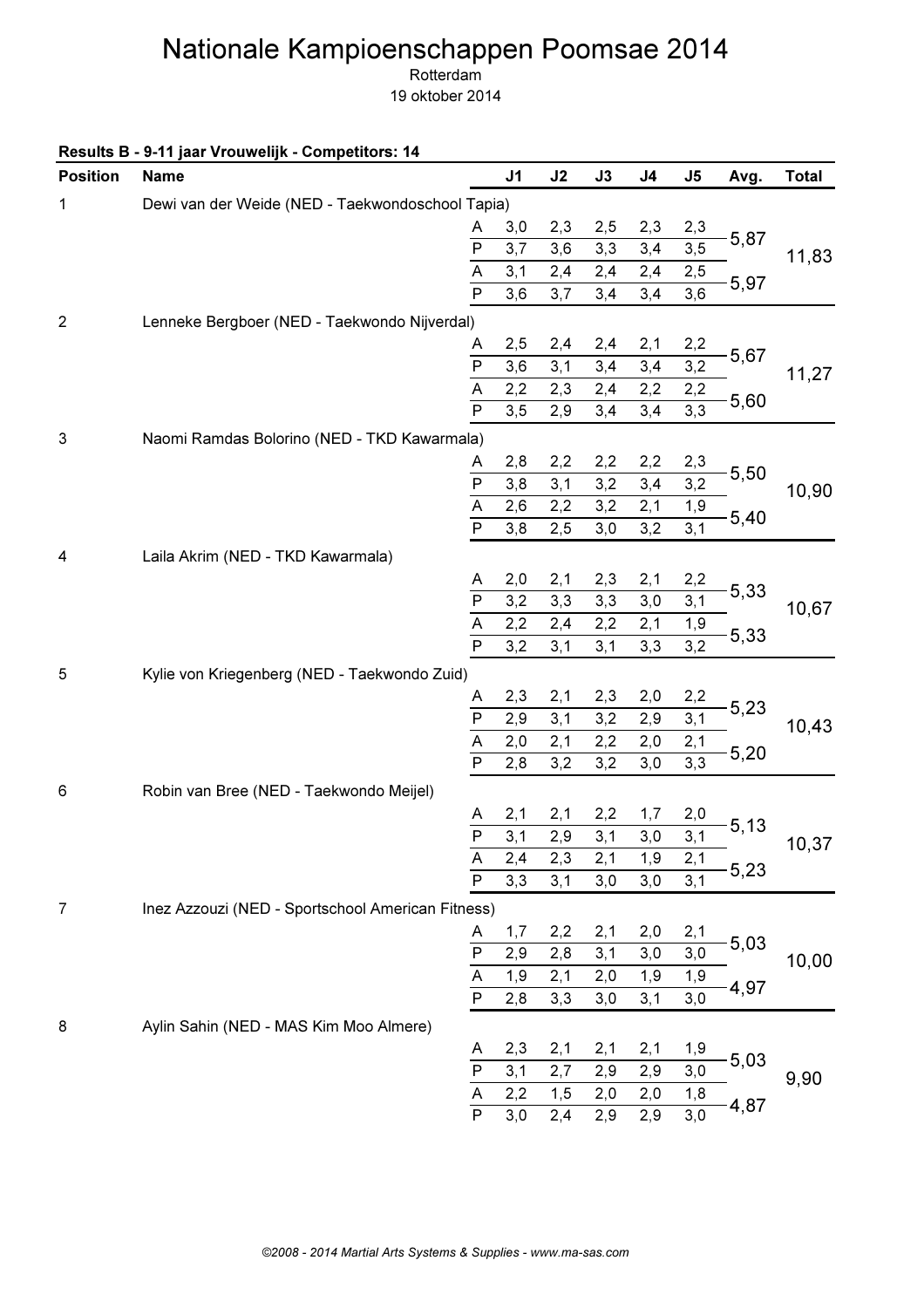Rotterdam

|  | Results B - 9-11 jaar Vrouwelijk - Competitors: 14 |  |
|--|----------------------------------------------------|--|
|--|----------------------------------------------------|--|

| <b>Position</b> | <b>Name</b>                                       |                                     | J <sub>1</sub> | J2  | J3  | J <sub>4</sub> | $\mathsf{J}5$ | Avg. | <b>Total</b> |
|-----------------|---------------------------------------------------|-------------------------------------|----------------|-----|-----|----------------|---------------|------|--------------|
| 1               | Dewi van der Weide (NED - Taekwondoschool Tapia)  |                                     |                |     |     |                |               |      |              |
|                 |                                                   | A                                   | 3,0            | 2,3 | 2,5 | 2,3            | 2,3           |      |              |
|                 |                                                   | $\mathsf{P}$                        | 3,7            | 3,6 | 3,3 | 3,4            | 3, 5          | 5,87 | 11,83        |
|                 |                                                   | $\overline{A}$                      | 3,1            | 2,4 | 2,4 | 2,4            | 2,5           | 5,97 |              |
|                 |                                                   | $\overline{P}$                      | 3,6            | 3,7 | 3,4 | 3,4            | 3,6           |      |              |
| $\overline{2}$  | Lenneke Bergboer (NED - Taekwondo Nijverdal)      |                                     |                |     |     |                |               |      |              |
|                 |                                                   | A                                   | 2,5            | 2,4 | 2,4 | 2,1            | 2,2           |      |              |
|                 |                                                   | $\overline{P}$                      | 3,6            | 3,1 | 3,4 | 3,4            | 3,2           | 5,67 | 11,27        |
|                 |                                                   | A                                   | 2,2            | 2,3 | 2,4 | 2,2            | 2,2           | 5,60 |              |
|                 |                                                   | $\mathsf{P}$                        | 3, 5           | 2,9 | 3,4 | 3,4            | 3,3           |      |              |
| $\sqrt{3}$      | Naomi Ramdas Bolorino (NED - TKD Kawarmala)       |                                     |                |     |     |                |               |      |              |
|                 |                                                   | A                                   | 2,8            | 2,2 | 2,2 | 2,2            | 2,3           | 5,50 |              |
|                 |                                                   | $\overline{P}$                      | 3,8            | 3,1 | 3,2 | 3,4            | 3,2           |      | 10,90        |
|                 |                                                   | $\overline{A}$                      | 2,6            | 2,2 | 3,2 | 2,1            | 1,9           | 5,40 |              |
|                 |                                                   | $\overline{P}$                      | 3,8            | 2,5 | 3,0 | 3,2            | 3,1           |      |              |
| 4               | Laila Akrim (NED - TKD Kawarmala)                 |                                     |                |     |     |                |               |      |              |
|                 |                                                   | A                                   | 2,0            | 2,1 | 2,3 | 2,1            | 2,2           |      |              |
|                 |                                                   | $\overline{P}$                      | 3,2            | 3,3 | 3,3 | 3,0            | 3,1           | 5,33 | 10,67        |
|                 |                                                   | $\overline{A}$                      | 2,2            | 2,4 | 2,2 | 2,1            | 1,9           |      |              |
|                 |                                                   | $\overline{P}$                      | 3,2            | 3,1 | 3,1 | 3,3            | 3,2           | 5,33 |              |
| 5               | Kylie von Kriegenberg (NED - Taekwondo Zuid)      |                                     |                |     |     |                |               |      |              |
|                 |                                                   | A                                   | 2,3            | 2,1 | 2,3 | 2,0            | 2,2           |      |              |
|                 |                                                   | $\mathsf{P}$                        | 2,9            | 3,1 | 3,2 | 2,9            | 3,1           | 5,23 | 10,43        |
|                 |                                                   | $\overline{\mathsf{A}}$             | 2,0            | 2,1 | 2,2 | 2,0            | 2,1           |      |              |
|                 |                                                   | $\overline{P}$                      | 2,8            | 3,2 | 3,2 | 3,0            | 3,3           | 5,20 |              |
| 6               | Robin van Bree (NED - Taekwondo Meijel)           |                                     |                |     |     |                |               |      |              |
|                 |                                                   | A                                   | 2,1            | 2,1 | 2,2 | 1,7            | 2,0           |      |              |
|                 |                                                   | $\overline{P}$                      | 3,1            | 2,9 | 3,1 | 3,0            | 3,1           | 5,13 | 10,37        |
|                 |                                                   | A                                   | 2,4            | 2,3 | 2,1 | 1,9            | 2,1           |      |              |
|                 |                                                   | $\overline{\mathsf{P}}$             | 3,3            | 3,1 | 3,0 | 3,0            | 3,1           | 5,23 |              |
| $\overline{7}$  | Inez Azzouzi (NED - Sportschool American Fitness) |                                     |                |     |     |                |               |      |              |
|                 |                                                   | A                                   | 1,7            | 2,2 | 2,1 | 2,0            | 2,1           |      |              |
|                 |                                                   | $\overline{P}$                      | 2,9            | 2,8 | 3,1 | 3,0            | 3,0           | 5,03 | 10,00        |
|                 |                                                   | $\overline{A}$                      | 1,9            | 2,1 | 2,0 | 1,9            | 1,9           |      |              |
|                 |                                                   | $\overline{P}$                      | 2,8            | 3,3 | 3,0 | 3,1            | 3,0           | 4,97 |              |
| 8               | Aylin Sahin (NED - MAS Kim Moo Almere)            |                                     |                |     |     |                |               |      |              |
|                 |                                                   | A                                   | 2,3            | 2,1 | 2,1 | 2,1            | 1,9           |      |              |
|                 |                                                   | $\mathsf{P}$                        | 3,1            | 2,7 | 2,9 | 2,9            | 3,0           | 5,03 | 9,90         |
|                 |                                                   | $\frac{\overline{A}}{\overline{P}}$ | 2,2            | 1,5 | 2,0 | 2,0            | 1,8           |      |              |
|                 |                                                   |                                     | 3,0            | 2,4 | 2,9 | 2,9            | 3,0           | 4,87 |              |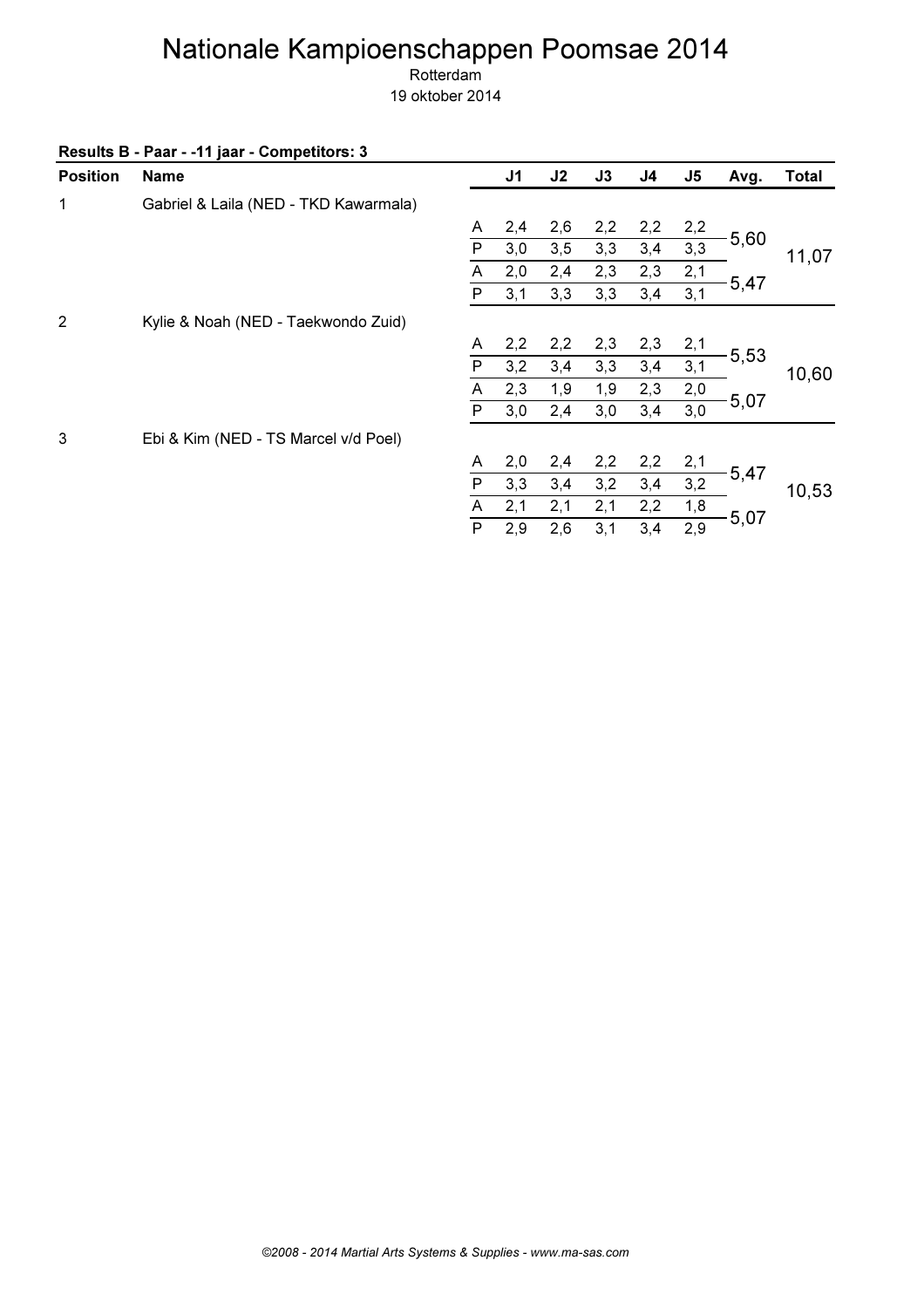| <b>Position</b> | <b>Name</b>                           |                | J <sub>1</sub> | J2  | J3  | J <sub>4</sub> | $\mathsf{J}5$ | Avg.    | <b>Total</b> |
|-----------------|---------------------------------------|----------------|----------------|-----|-----|----------------|---------------|---------|--------------|
| 1               | Gabriel & Laila (NED - TKD Kawarmala) |                |                |     |     |                |               |         |              |
|                 |                                       | A              | 2,4            | 2,6 | 2,2 | 2,2            | 2,2           |         |              |
|                 |                                       | P              | 3,0            | 3,5 | 3,3 | 3,4            | 3,3           | 5,60    | 11,07        |
|                 |                                       | Α              | 2,0            | 2,4 | 2,3 | 2,3            | 2,1           |         |              |
|                 |                                       | P              | 3,1            | 3,3 | 3,3 | 3,4            | 3,1           | $-5,47$ |              |
| 2               | Kylie & Noah (NED - Taekwondo Zuid)   |                |                |     |     |                |               |         |              |
|                 |                                       | A              | 2,2            | 2,2 | 2,3 | 2,3            | 2,1           |         |              |
|                 |                                       | P              | 3,2            | 3,4 | 3,3 | 3,4            | 3,1           | $-5,53$ | 10,60        |
|                 |                                       | Α              | 2,3            | 1,9 | 1,9 | 2,3            | 2,0           |         |              |
|                 |                                       | P              | 3,0            | 2,4 | 3,0 | 3,4            | 3,0           | 5,07    |              |
| 3               | Ebi & Kim (NED - TS Marcel v/d Poel)  |                |                |     |     |                |               |         |              |
|                 |                                       | A              | 2,0            | 2,4 | 2,2 | 2,2            | 2,1           |         |              |
|                 |                                       | P              | 3,3            | 3,4 | 3,2 | 3,4            | 3,2           | $-5,47$ | 10,53        |
|                 |                                       | A              | 2,1            | 2,1 | 2,1 | 2,2            | 1,8           |         |              |
|                 |                                       | $\overline{P}$ | 2,9            | 2,6 | 3,1 | 3,4            | 2,9           | $-5,07$ |              |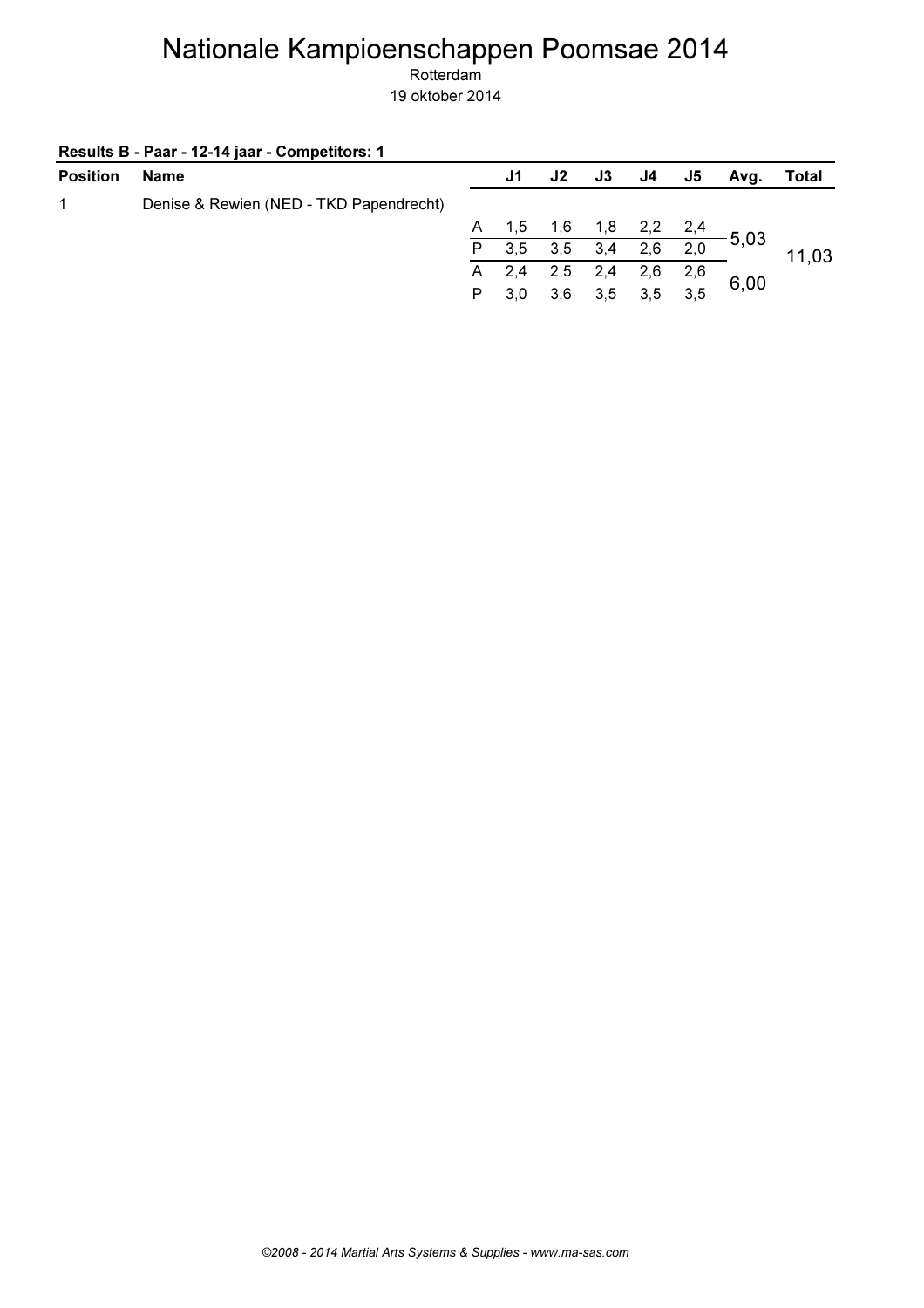| Results B - Paar - 12-14 jaar - Competitors: 1 |  |
|------------------------------------------------|--|
|------------------------------------------------|--|

| <b>Position</b> | Name                                    |              | J1  | J2  | J3  | J4. | J5  | Avg.                                 | Total |
|-----------------|-----------------------------------------|--------------|-----|-----|-----|-----|-----|--------------------------------------|-------|
| 1               | Denise & Rewien (NED - TKD Papendrecht) |              |     |     |     |     |     |                                      |       |
|                 |                                         | $\mathsf{A}$ | 1,5 | 1,6 | 1,8 |     |     | $\frac{2,2}{2}$ $\frac{2,4}{2}$ 5,03 |       |
|                 |                                         | P            | 3,5 | 3,5 | 3,4 | 2,6 | 2,0 |                                      | 11,03 |
|                 |                                         | A            | 2,4 | 2,5 | 2,4 | 2,6 | 2,6 |                                      |       |
|                 |                                         | P            | 3,0 | 3,6 | 3.5 | 3.5 | 3,5 | 6,00                                 |       |
|                 |                                         |              |     |     |     |     |     |                                      |       |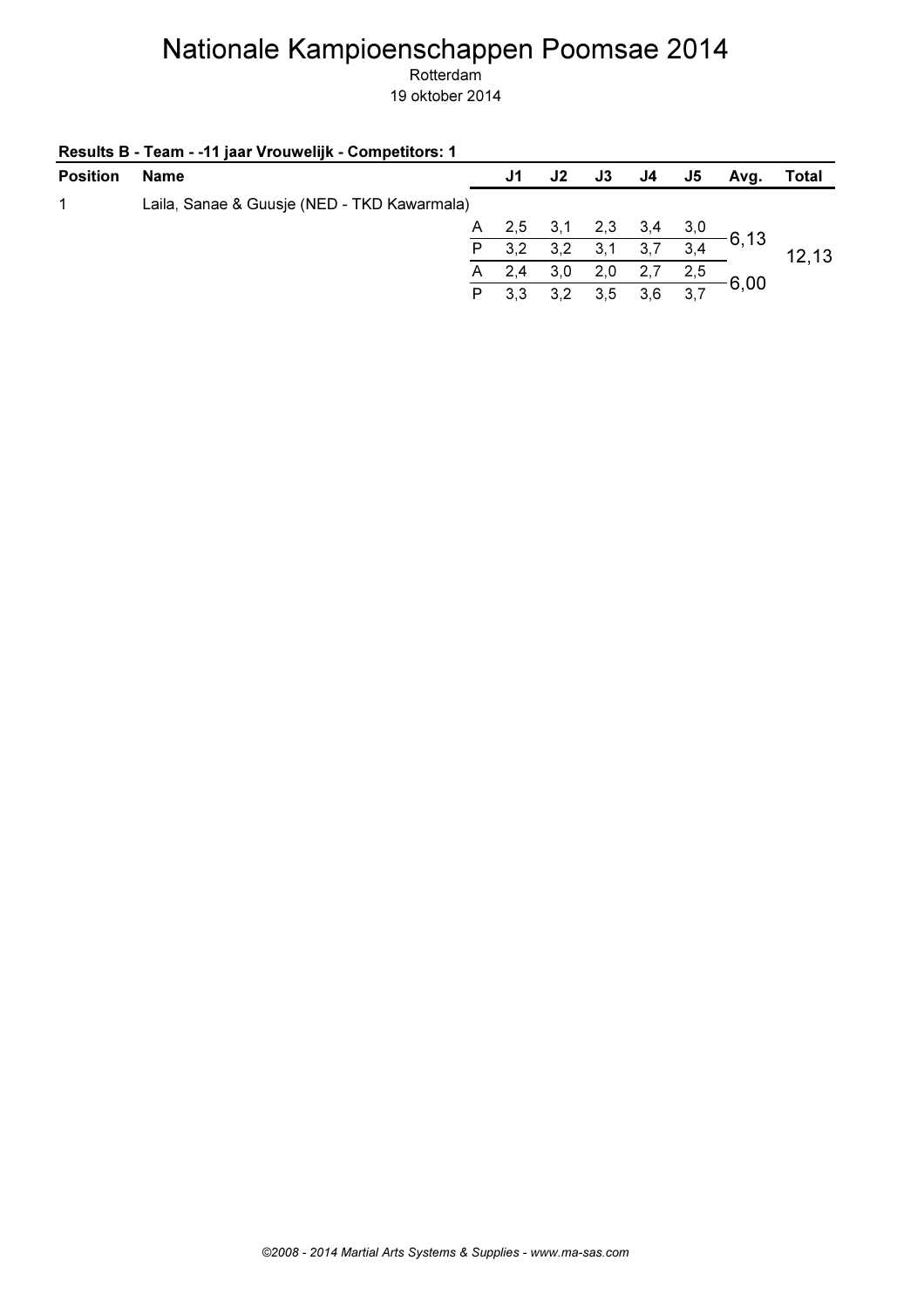| Results B - Team - - 11 jaar Vrouwelijk - Competitors: 1 |  |
|----------------------------------------------------------|--|
|----------------------------------------------------------|--|

| <b>Position</b> | Name                                        |    | J1  | J2      | J3. | J4  | J5  | Avq.     | Total  |
|-----------------|---------------------------------------------|----|-----|---------|-----|-----|-----|----------|--------|
|                 | Laila, Sanae & Guusje (NED - TKD Kawarmala) |    |     |         |     |     |     |          |        |
|                 |                                             | A. | 2,5 | 2, 3, 1 | 2,3 | 3,4 | 3,0 |          |        |
|                 |                                             |    | 3,2 | 3,2     | 3,1 | 3,7 | 3,4 | $-6, 13$ | 12, 13 |
|                 |                                             | A. | 2,4 | 3,0     | 2,0 |     | 2,5 |          |        |
|                 |                                             | P. | 3,3 | 3,2     | 3.5 | 3,6 | 3,7 | 6,00     |        |
|                 |                                             |    |     |         |     |     |     |          |        |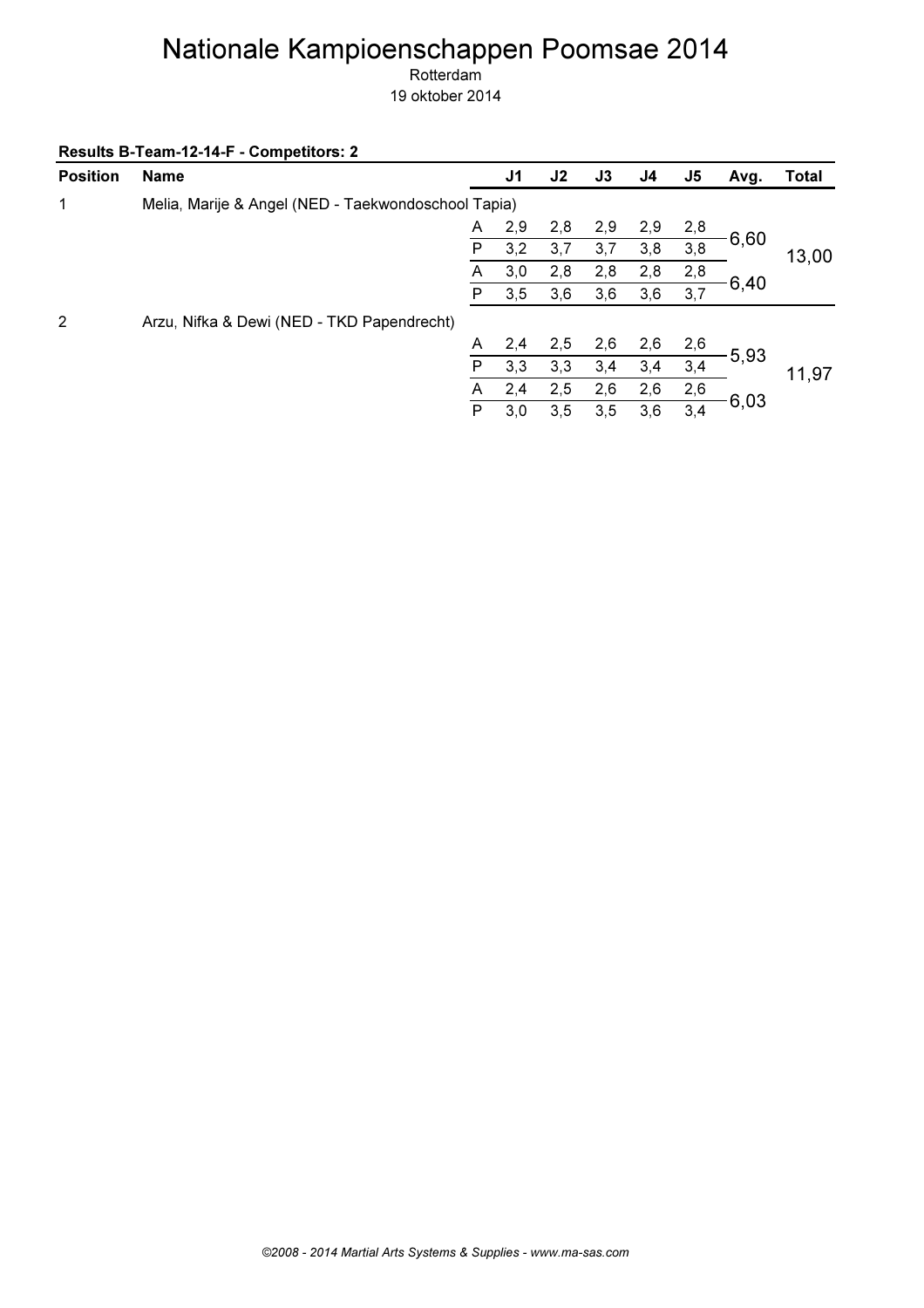Rotterdam

19 oktober 2014

Results B-Team-12-14-F - Competitors: 2

| <b>Position</b> | <b>Name</b>                                         |   | J <sub>1</sub> | J2  | J3  | J4  | J <sub>5</sub> | Avg.  | <b>Total</b> |
|-----------------|-----------------------------------------------------|---|----------------|-----|-----|-----|----------------|-------|--------------|
| 1               | Melia, Marije & Angel (NED - Taekwondoschool Tapia) |   |                |     |     |     |                |       |              |
|                 |                                                     | A | 2,9            | 2,8 | 2,9 | 2,9 | 2,8            |       |              |
|                 |                                                     | P | 3,2            | 3,7 | 3,7 | 3,8 | 3,8            | 6,60  | 13,00        |
|                 |                                                     | A | 3,0            | 2,8 | 2,8 | 2,8 | 2,8            |       |              |
|                 |                                                     | P | 3,5            | 3,6 | 3,6 | 3,6 | 3,7            | -6,40 |              |
| 2               | Arzu, Nifka & Dewi (NED - TKD Papendrecht)          |   |                |     |     |     |                |       |              |
|                 |                                                     | A | 2,4            | 2,5 | 2,6 | 2,6 | 2,6            |       |              |
|                 |                                                     | P | 3,3            | 3,3 | 3,4 | 3,4 | 3,4            | 5,93  | 11,97        |
|                 |                                                     | A | 2,4            | 2,5 | 2,6 | 2,6 | 2,6            |       |              |
|                 |                                                     | P | 3,0            | 3,5 | 3,5 | 3,6 | 3,4            | 6,03  |              |
|                 |                                                     |   |                |     |     |     |                |       |              |